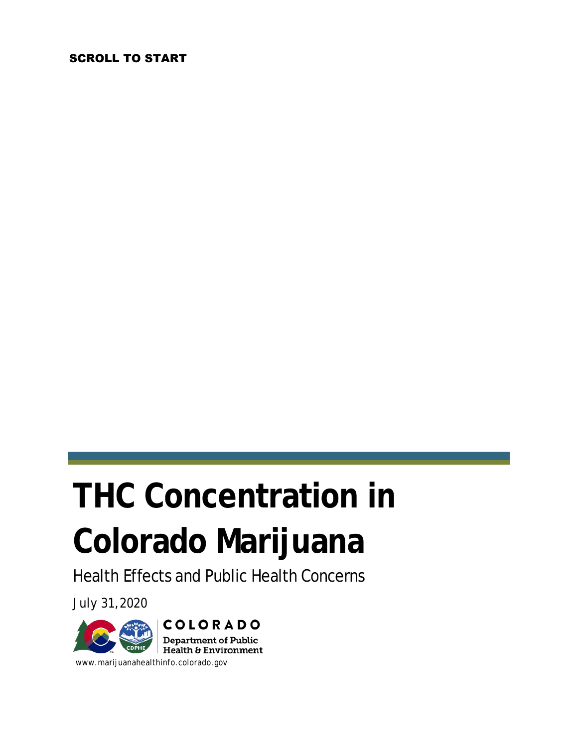#### SCROLL TO START

# **THC Concentration in Colorado Marijuana**

Health Effects and Public Health Concerns

July 31,2020



www.marijuanahealthinfo.colorado.gov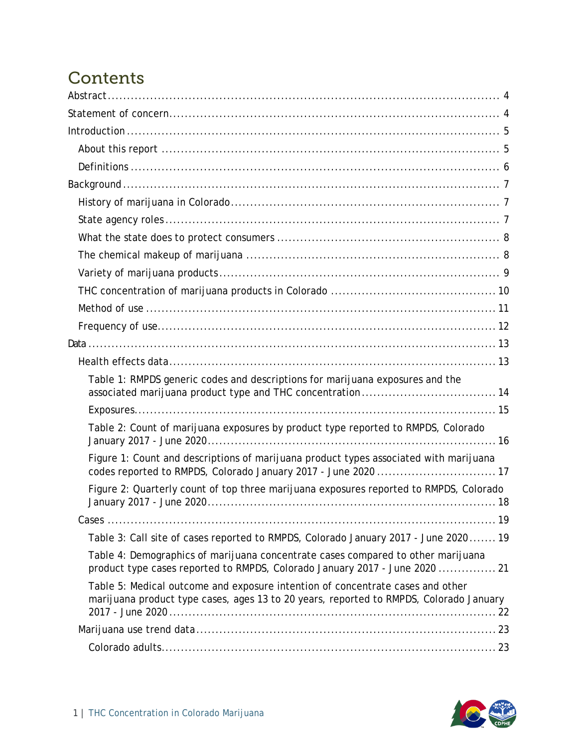### **Contents**

| Table 1: RMPDS generic codes and descriptions for marijuana exposures and the                                                                                            |
|--------------------------------------------------------------------------------------------------------------------------------------------------------------------------|
|                                                                                                                                                                          |
| Table 2: Count of marijuana exposures by product type reported to RMPDS, Colorado                                                                                        |
| Figure 1: Count and descriptions of marijuana product types associated with marijuana<br>codes reported to RMPDS, Colorado January 2017 - June 2020  17                  |
| Figure 2: Quarterly count of top three marijuana exposures reported to RMPDS, Colorado                                                                                   |
|                                                                                                                                                                          |
| Table 3: Call site of cases reported to RMPDS, Colorado January 2017 - June 2020 19                                                                                      |
| Table 4: Demographics of marijuana concentrate cases compared to other marijuana<br>product type cases reported to RMPDS, Colorado January 2017 - June 2020  21          |
| Table 5: Medical outcome and exposure intention of concentrate cases and other<br>marijuana product type cases, ages 13 to 20 years, reported to RMPDS, Colorado January |
|                                                                                                                                                                          |
|                                                                                                                                                                          |

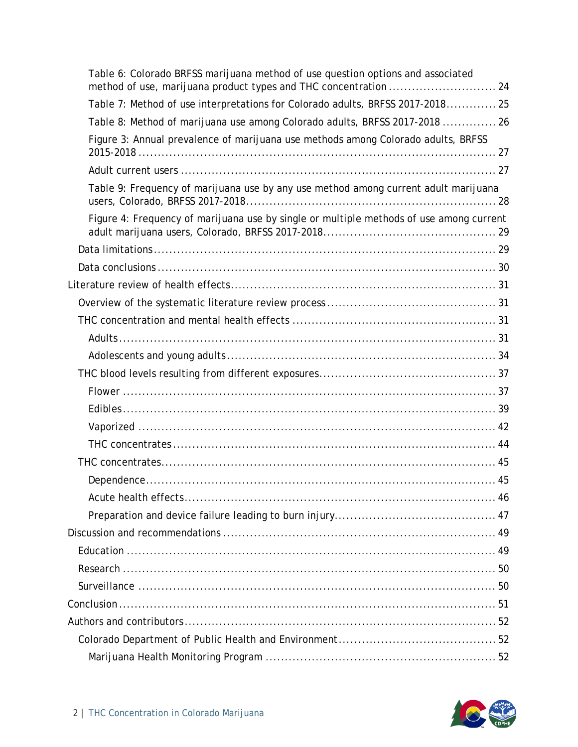| Table 6: Colorado BRFSS marijuana method of use question options and associated         |
|-----------------------------------------------------------------------------------------|
| Table 7: Method of use interpretations for Colorado adults, BRFSS 2017-2018 25          |
| Table 8: Method of marijuana use among Colorado adults, BRFSS 2017-2018  26             |
| Figure 3: Annual prevalence of marijuana use methods among Colorado adults, BRFSS       |
|                                                                                         |
| Table 9: Frequency of marijuana use by any use method among current adult marijuana     |
| Figure 4: Frequency of marijuana use by single or multiple methods of use among current |
|                                                                                         |
|                                                                                         |
|                                                                                         |
|                                                                                         |
|                                                                                         |
|                                                                                         |
|                                                                                         |
|                                                                                         |
|                                                                                         |
|                                                                                         |
|                                                                                         |
|                                                                                         |
|                                                                                         |
|                                                                                         |
|                                                                                         |
|                                                                                         |
|                                                                                         |
|                                                                                         |
|                                                                                         |
|                                                                                         |
|                                                                                         |
|                                                                                         |
|                                                                                         |
|                                                                                         |

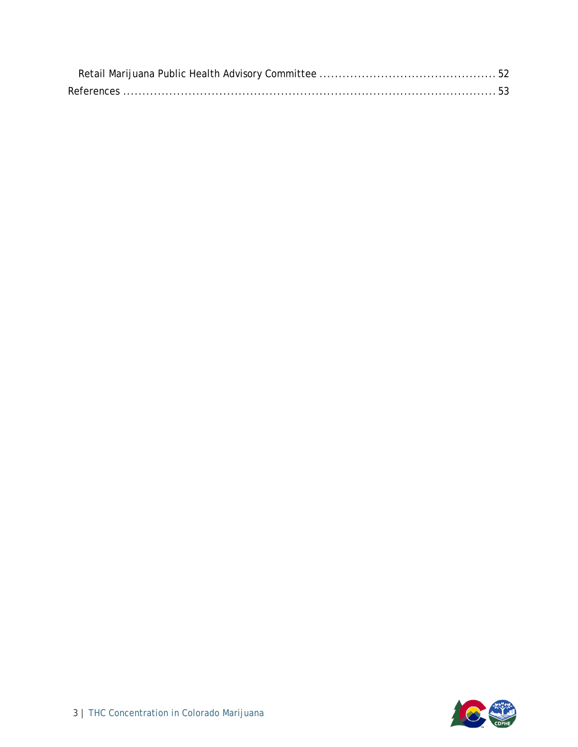<span id="page-3-0"></span>

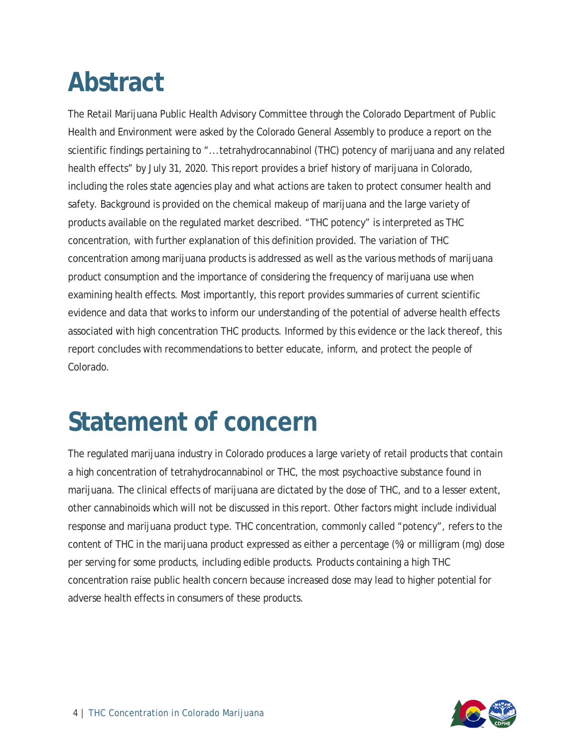### **Abstract**

The Retail Marijuana Public Health Advisory Committee through the Colorado Department of Public Health and Environment were asked by the Colorado General Assembly to produce a report on the scientific findings pertaining to "...tetrahydrocannabinol (THC) potency of marijuana and any related health effects" by July 31, 2020. This report provides a brief history of marijuana in Colorado, including the roles state agencies play and what actions are taken to protect consumer health and safety. Background is provided on the chemical makeup of marijuana and the large variety of products available on the regulated market described. "THC potency" is interpreted as THC concentration, with further explanation of this definition provided. The variation of THC concentration among marijuana products is addressed as well as the various methods of marijuana product consumption and the importance of considering the frequency of marijuana use when examining health effects. Most importantly, this report provides summaries of current scientific evidence and data that works to inform our understanding of the potential of adverse health effects associated with high concentration THC products. Informed by this evidence or the lack thereof, this report concludes with recommendations to better educate, inform, and protect the people of Colorado.

### <span id="page-4-0"></span>**Statement of concern**

The regulated marijuana industry in Colorado produces a large variety of retail products that contain a high concentration of tetrahydrocannabinol or THC, the most psychoactive substance found in marijuana. The clinical effects of marijuana are dictated by the dose of THC, and to a lesser extent, other cannabinoids which will not be discussed in this report. Other factors might include individual response and marijuana product type. THC concentration, commonly called "potency", refers to the content of THC in the marijuana product expressed as either a percentage (%) or milligram (mg) dose per serving for some products, including edible products. Products containing a high THC concentration raise public health concern because increased dose may lead to higher potential for adverse health effects in consumers of these products.

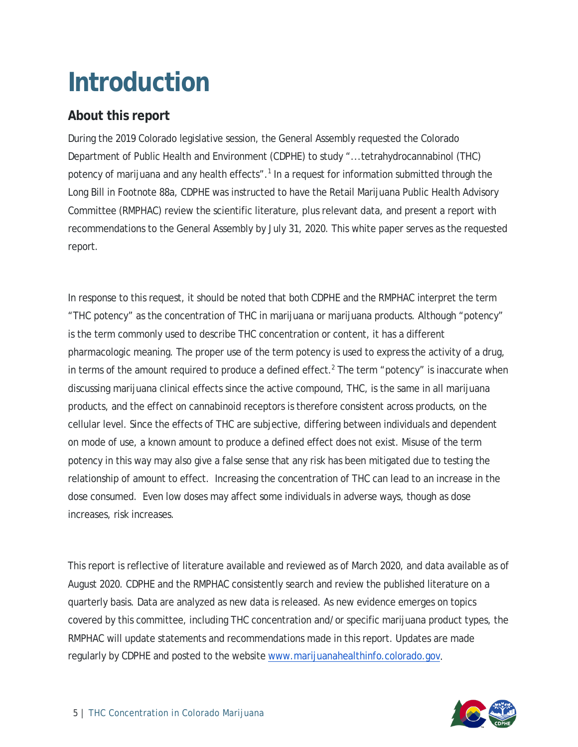### <span id="page-5-0"></span>**Introduction**

#### <span id="page-5-1"></span>**About this report**

During the 2019 Colorado legislative session, the General Assembly requested the Colorado Department of Public Health and Environment (CDPHE) to study "...tetrahydrocannabinol (THC) potency of marijuana and any health effects".<sup>1</sup> In a request for information submitted through the Long Bill in Footnote 88a, CDPHE was instructed to have the Retail Marijuana Public Health Advisory Committee (RMPHAC) review the scientific literature, plus relevant data, and present a report with recommendations to the General Assembly by July 31, 2020. This white paper serves as the requested report.

In response to this request, it should be noted that both CDPHE and the RMPHAC interpret the term "THC potency" as the concentration of THC in marijuana or marijuana products. Although "potency" is the term commonly used to describe THC concentration or content, it has a different pharmacologic meaning. The proper use of the term potency is used to express the activity of a drug, in terms of the amount required to produce a defined effect.<sup>2</sup> The term "potency" is inaccurate when discussing marijuana clinical effects since the active compound, THC, is the same in all marijuana products, and the effect on cannabinoid receptors is therefore consistent across products, on the cellular level. Since the effects of THC are subjective, differing between individuals and dependent on mode of use, a known amount to produce a defined effect does not exist. Misuse of the term potency in this way may also give a false sense that any risk has been mitigated due to testing the relationship of amount to effect. Increasing the concentration of THC can lead to an increase in the dose consumed. Even low doses may affect some individuals in adverse ways, though as dose increases, risk increases.

This report is reflective of literature available and reviewed as of March 2020, and data available as of August 2020. CDPHE and the RMPHAC consistently search and review the published literature on a quarterly basis. Data are analyzed as new data is released. As new evidence emerges on topics covered by this committee, including THC concentration and/or specific marijuana product types, the RMPHAC will update statements and recommendations made in this report. Updates are made regularly by CDPHE and posted to the website [www.marijuanahealthinfo.colorado.gov.](http://www.marijuanahealthinfo.colorado.gov/)

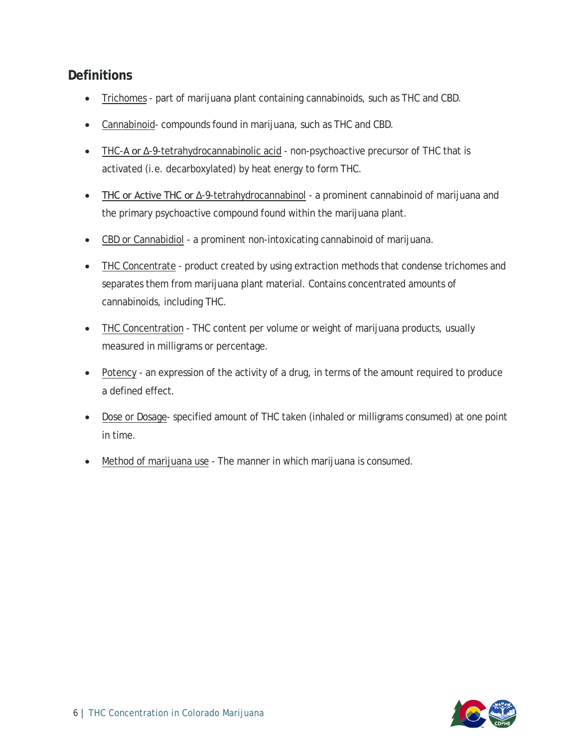#### <span id="page-6-0"></span>**Definitions**

- Trichomes part of marijuana plant containing cannabinoids, such as THC and CBD.
- Cannabinoid- compounds found in marijuana, such as THC and CBD.
- THC-A or Δ-9-tetrahydrocannabinolic acid non-psychoactive precursor of THC that is activated (i.e. decarboxylated) by heat energy to form THC.
- THC or Active THC or Δ-9-tetrahydrocannabinol a prominent cannabinoid of marijuana and the primary psychoactive compound found within the marijuana plant.
- CBD or Cannabidiol a prominent non-intoxicating cannabinoid of marijuana.
- THC Concentrate product created by using extraction methods that condense trichomes and separates them from marijuana plant material. Contains concentrated amounts of cannabinoids, including THC.
- THC Concentration THC content per volume or weight of marijuana products, usually measured in milligrams or percentage.
- Potency an expression of the activity of a drug, in terms of the amount required to produce a defined effect.
- Dose or Dosage- specified amount of THC taken (inhaled or milligrams consumed) at one point in time.
- Method of marijuana use The manner in which marijuana is consumed.

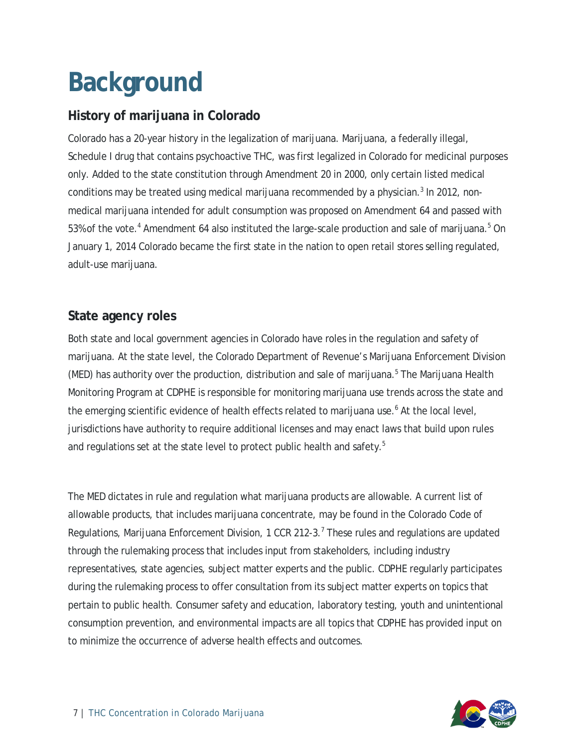## <span id="page-7-0"></span>**Background**

#### <span id="page-7-1"></span>**History of marijuana in Colorado**

Colorado has a 20-year history in the legalization of marijuana. Marijuana, a federally illegal, Schedule I drug that contains psychoactive THC, was first legalized in Colorado for medicinal purposes only. Added to the state constitution through Amendment 20 in 2000, only certain listed medical conditions may be treated using medical marijuana recommended by a physician. $3$  In 2012, nonmedical marijuana intended for adult consumption was proposed on Amendment 64 and passed with 53% of the vote.<sup>4</sup> Amendment 64 also instituted the large-scale production and sale of marijuana.<sup>5</sup> On January 1, 2014 Colorado became the first state in the nation to open retail stores selling regulated, adult-use marijuana.

#### <span id="page-7-2"></span>**State agency roles**

Both state and local government agencies in Colorado have roles in the regulation and safety of marijuana. At the state level, the Colorado Department of Revenue's Marijuana Enforcement Division (MED) has authority over the production, distribution and sale of marijuana.<sup>5</sup> The Marijuana Health Monitoring Program at CDPHE is responsible for monitoring marijuana use trends across the state and the emerging scientific evidence of health effects related to marijuana use.<sup>6</sup> At the local level, jurisdictions have authority to require additional licenses and may enact laws that build upon rules and regulations set at the state level to protect public health and safety.<sup>5</sup>

The MED dictates in rule and regulation what marijuana products are allowable. A current list of allowable products, that includes marijuana concentrate, may be found in the Colorado Code of Regulations, Marijuana Enforcement Division, 1 CCR 212-3.<sup>7</sup> These rules and regulations are updated through the rulemaking process that includes input from stakeholders, including industry representatives, state agencies, subject matter experts and the public. CDPHE regularly participates during the rulemaking process to offer consultation from its subject matter experts on topics that pertain to public health. Consumer safety and education, laboratory testing, youth and unintentional consumption prevention, and environmental impacts are all topics that CDPHE has provided input on to minimize the occurrence of adverse health effects and outcomes.

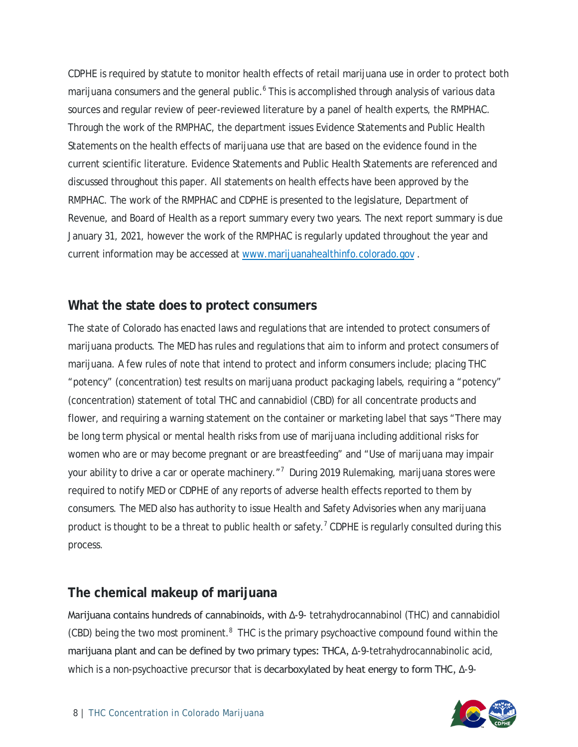CDPHE is required by statute to monitor health effects of retail marijuana use in order to protect both marijuana consumers and the general public.<sup>6</sup> This is accomplished through analysis of various data sources and regular review of peer-reviewed literature by a panel of health experts, the RMPHAC. Through the work of the RMPHAC, the department issues Evidence Statements and Public Health Statements on the health effects of marijuana use that are based on the evidence found in the current scientific literature. Evidence Statements and Public Health Statements are referenced and discussed throughout this paper. All statements on health effects have been approved by the RMPHAC. The work of the RMPHAC and CDPHE is presented to the legislature, Department of Revenue, and Board of Health as a report summary every two years. The next report summary is due January 31, 2021, however the work of the RMPHAC is regularly updated throughout the year and current information may be accessed a[t www.marijuanahealthinfo.colorado.gov](http://www.marijuanahealthinfo.colorado.gov/) .

#### <span id="page-8-0"></span>**What the state does to protect consumers**

The state of Colorado has enacted laws and regulations that are intended to protect consumers of marijuana products. The MED has rules and regulations that aim to inform and protect consumers of marijuana. A few rules of note that intend to protect and inform consumers include; placing THC "potency" (concentration) test results on marijuana product packaging labels, requiring a "potency" (concentration) statement of total THC and cannabidiol (CBD) for all concentrate products and flower, and requiring a warning statement on the container or marketing label that says "There may be long term physical or mental health risks from use of marijuana including additional risks for women who are or may become pregnant or are breastfeeding" and "Use of marijuana may impair your ability to drive a car or operate machinery."<sup>7</sup> During 2019 Rulemaking, marijuana stores were required to notify MED or CDPHE of any reports of adverse health effects reported to them by consumers. The MED also has authority to issue Health and Safety Advisories when any marijuana product is thought to be a threat to public health or safety.<sup>7</sup> CDPHE is regularly consulted during this process.

#### <span id="page-8-1"></span>**The chemical makeup of marijuana**

Marijuana contains hundreds of cannabinoids, with Δ-9- tetrahydrocannabinol (THC) and cannabidiol  $(CBD)$  being the two most prominent. $8$  THC is the primary psychoactive compound found within the marijuana plant and can be defined by two primary types: THCA, Δ-9-tetrahydrocannabinolic acid, which is a non-psychoactive precursor that is decarboxylated by heat energy to form THC, Δ-9-

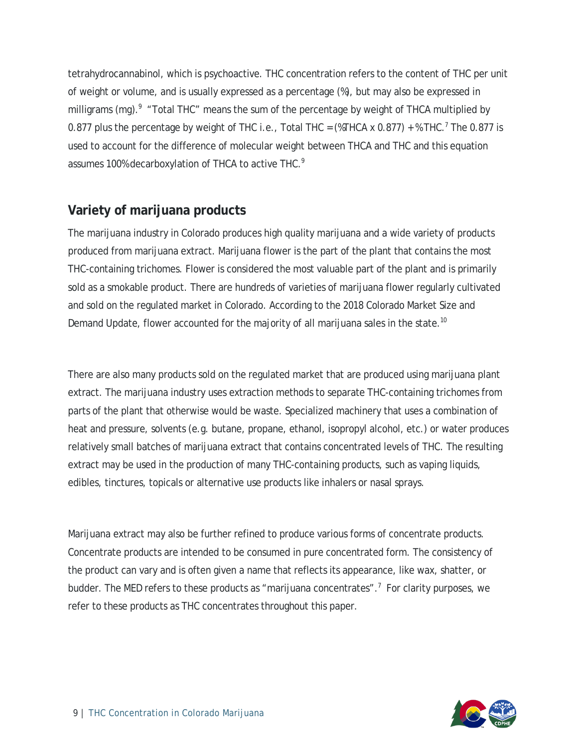tetrahydrocannabinol, which is psychoactive. THC concentration refers to the content of THC per unit of weight or volume, and is usually expressed as a percentage (%), but may also be expressed in milligrams (mg).<sup>9</sup> "Total THC" means the sum of the percentage by weight of THCA multiplied by 0.877 plus the percentage by weight of THC i.e., Total THC =  $(\text{WTHCA} \times 0.877) + \text{WTHC}$ .<sup>7</sup> The 0.877 is used to account for the difference of molecular weight between THCA and THC and this equation assumes 100% decarboxylation of THCA to active THC.<sup>9</sup>

#### <span id="page-9-0"></span>**Variety of marijuana products**

The marijuana industry in Colorado produces high quality marijuana and a wide variety of products produced from marijuana extract. Marijuana flower is the part of the plant that contains the most THC-containing trichomes. Flower is considered the most valuable part of the plant and is primarily sold as a smokable product. There are hundreds of varieties of marijuana flower regularly cultivated and sold on the regulated market in Colorado. According to the 2018 Colorado Market Size and Demand Update, flower accounted for the majority of all marijuana sales in the state.<sup>10</sup>

There are also many products sold on the regulated market that are produced using marijuana plant extract. The marijuana industry uses extraction methods to separate THC-containing trichomes from parts of the plant that otherwise would be waste. Specialized machinery that uses a combination of heat and pressure, solvents (e.g. butane, propane, ethanol, isopropyl alcohol, etc.) or water produces relatively small batches of marijuana extract that contains concentrated levels of THC. The resulting extract may be used in the production of many THC-containing products, such as vaping liquids, edibles, tinctures, topicals or alternative use products like inhalers or nasal sprays.

Marijuana extract may also be further refined to produce various forms of concentrate products. Concentrate products are intended to be consumed in pure concentrated form. The consistency of the product can vary and is often given a name that reflects its appearance, like wax, shatter, or budder. The MED refers to these products as "marijuana concentrates".<sup>7</sup> For clarity purposes, we refer to these products as THC concentrates throughout this paper.

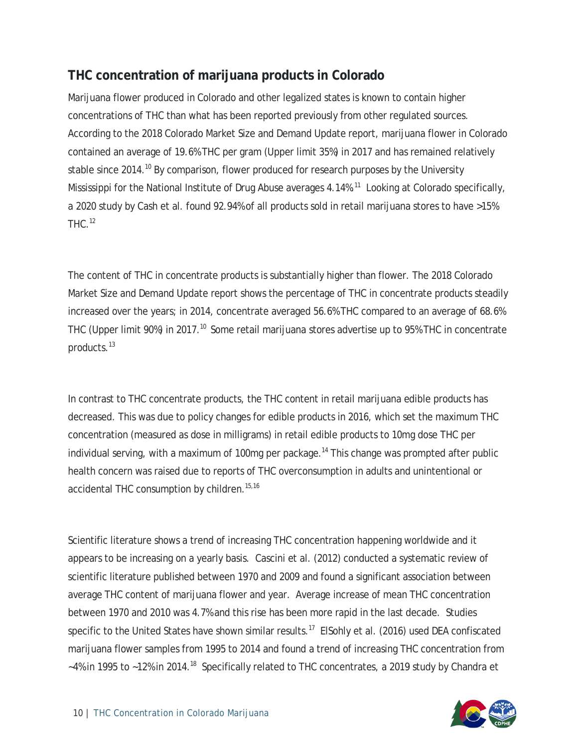#### <span id="page-10-0"></span>**THC concentration of marijuana products in Colorado**

Marijuana flower produced in Colorado and other legalized states is known to contain higher concentrations of THC than what has been reported previously from other regulated sources. According to the 2018 Colorado Market Size and Demand Update report, marijuana flower in Colorado contained an average of 19.6% THC per gram (Upper limit 35%) in 2017 and has remained relatively stable since 2014.<sup>10</sup> By comparison, flower produced for research purposes by the University Mississippi for the National Institute of Drug Abuse averages 4.14%.<sup>11</sup> Looking at Colorado specifically, a 2020 study by Cash et al. found 92.94% of all products sold in retail marijuana stores to have >15%  $THC.<sup>12</sup>$ 

The content of THC in concentrate products is substantially higher than flower. The 2018 Colorado Market Size and Demand Update report shows the percentage of THC in concentrate products steadily increased over the years; in 2014, concentrate averaged 56.6% THC compared to an average of 68.6% THC (Upper limit 90%) in 2017.<sup>10</sup> Some retail marijuana stores advertise up to 95% THC in concentrate products.<sup>13</sup>

In contrast to THC concentrate products, the THC content in retail marijuana edible products has decreased. This was due to policy changes for edible products in 2016, which set the maximum THC concentration (measured as dose in milligrams) in retail edible products to 10mg dose THC per individual serving, with a maximum of 100mg per package.<sup>14</sup> This change was prompted after public health concern was raised due to reports of THC overconsumption in adults and unintentional or accidental THC consumption by children.<sup>15,16</sup>

Scientific literature shows a trend of increasing THC concentration happening worldwide and it appears to be increasing on a yearly basis. Cascini et al. (2012) conducted a systematic review of scientific literature published between 1970 and 2009 and found a significant association between average THC content of marijuana flower and year. Average increase of mean THC concentration between 1970 and 2010 was 4.7% and this rise has been more rapid in the last decade. Studies specific to the United States have shown similar results.<sup>17</sup> ElSohly et al. (2016) used DEA confiscated marijuana flower samples from 1995 to 2014 and found a trend of increasing THC concentration from ~4% in 1995 to ~12% in 2014.<sup>18</sup> Specifically related to THC concentrates, a 2019 study by Chandra et

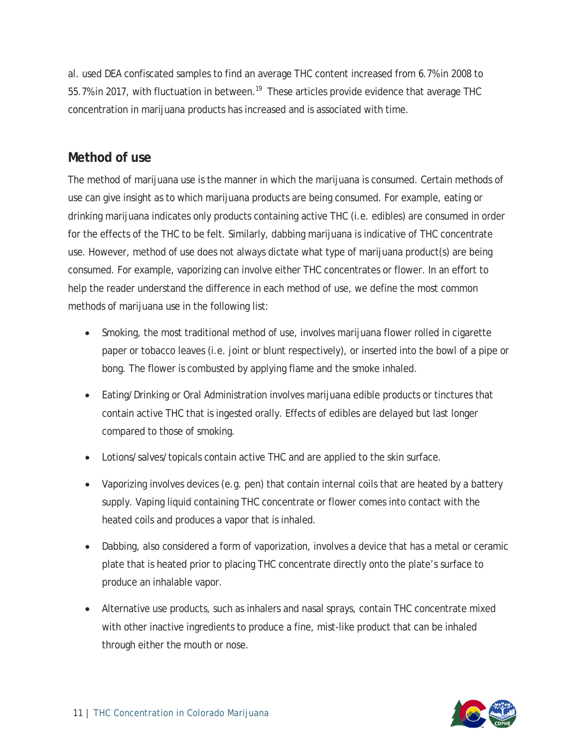al. used DEA confiscated samples to find an average THC content increased from 6.7% in 2008 to 55.7% in 2017, with fluctuation in between.<sup>19</sup> These articles provide evidence that average THC concentration in marijuana products has increased and is associated with time.

#### <span id="page-11-0"></span>**Method of use**

The method of marijuana use is the manner in which the marijuana is consumed. Certain methods of use can give insight as to which marijuana products are being consumed. For example, eating or drinking marijuana indicates only products containing active THC (i.e. edibles) are consumed in order for the effects of the THC to be felt. Similarly, dabbing marijuana is indicative of THC concentrate use. However, method of use does not always dictate what type of marijuana product(s) are being consumed. For example, vaporizing can involve either THC concentrates or flower. In an effort to help the reader understand the difference in each method of use, we define the most common methods of marijuana use in the following list:

- Smoking, the most traditional method of use, involves marijuana flower rolled in cigarette paper or tobacco leaves (i.e. joint or blunt respectively), or inserted into the bowl of a pipe or bong. The flower is combusted by applying flame and the smoke inhaled.
- Eating/Drinking or Oral Administration involves marijuana edible products or tinctures that contain active THC that is ingested orally. Effects of edibles are delayed but last longer compared to those of smoking.
- Lotions/salves/topicals contain active THC and are applied to the skin surface.
- Vaporizing involves devices (e.g. pen) that contain internal coils that are heated by a battery supply. Vaping liquid containing THC concentrate or flower comes into contact with the heated coils and produces a vapor that is inhaled.
- Dabbing, also considered a form of vaporization, involves a device that has a metal or ceramic plate that is heated prior to placing THC concentrate directly onto the plate's surface to produce an inhalable vapor.
- Alternative use products, such as inhalers and nasal sprays, contain THC concentrate mixed with other inactive ingredients to produce a fine, mist-like product that can be inhaled through either the mouth or nose.

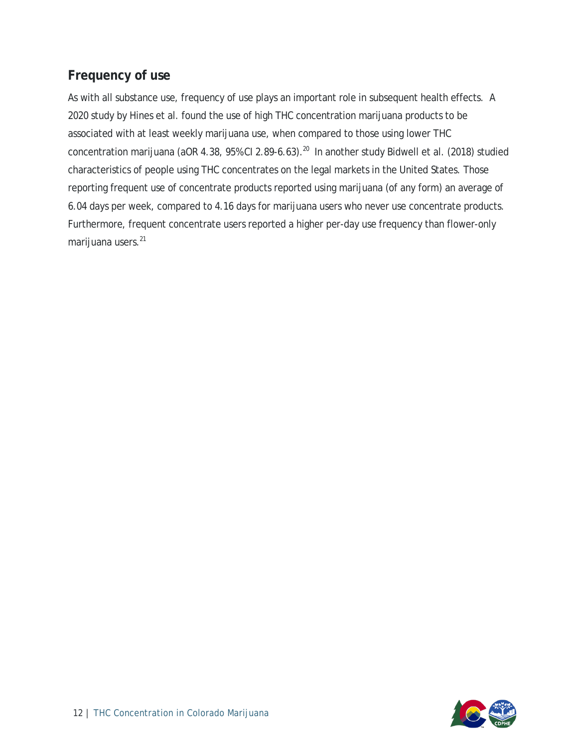#### <span id="page-12-0"></span>**Frequency of use**

As with all substance use, frequency of use plays an important role in subsequent health effects. A 2020 study by Hines et al. found the use of high THC concentration marijuana products to be associated with at least weekly marijuana use, when compared to those using lower THC concentration marijuana (aOR 4.38, 95% CI 2.89-6.63).<sup>20</sup> In another study Bidwell et al. (2018) studied characteristics of people using THC concentrates on the legal markets in the United States. Those reporting frequent use of concentrate products reported using marijuana (of any form) an average of 6.04 days per week, compared to 4.16 days for marijuana users who never use concentrate products. Furthermore, frequent concentrate users reported a higher per-day use frequency than flower-only marijuana users.<sup>21</sup>

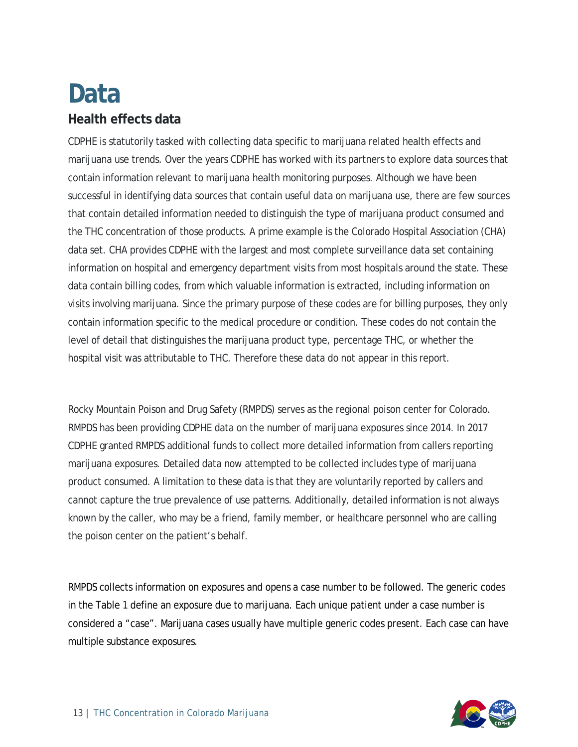### <span id="page-13-0"></span>**Data Health effects data**

<span id="page-13-1"></span>CDPHE is statutorily tasked with collecting data specific to marijuana related health effects and marijuana use trends. Over the years CDPHE has worked with its partners to explore data sources that contain information relevant to marijuana health monitoring purposes. Although we have been successful in identifying data sources that contain useful data on marijuana use, there are few sources that contain detailed information needed to distinguish the type of marijuana product consumed and the THC concentration of those products. A prime example is the Colorado Hospital Association (CHA) data set. CHA provides CDPHE with the largest and most complete surveillance data set containing information on hospital and emergency department visits from most hospitals around the state. These data contain billing codes, from which valuable information is extracted, including information on visits involving marijuana. Since the primary purpose of these codes are for billing purposes, they only contain information specific to the medical procedure or condition. These codes do not contain the level of detail that distinguishes the marijuana product type, percentage THC, or whether the hospital visit was attributable to THC. Therefore these data do not appear in this report.

Rocky Mountain Poison and Drug Safety (RMPDS) serves as the regional poison center for Colorado. RMPDS has been providing CDPHE data on the number of marijuana exposures since 2014. In 2017 CDPHE granted RMPDS additional funds to collect more detailed information from callers reporting marijuana exposures. Detailed data now attempted to be collected includes type of marijuana product consumed. A limitation to these data is that they are voluntarily reported by callers and cannot capture the true prevalence of use patterns. Additionally, detailed information is not always known by the caller, who may be a friend, family member, or healthcare personnel who are calling the poison center on the patient's behalf.

RMPDS collects information on exposures and opens a case number to be followed. The generic codes in the Table 1 define an exposure due to marijuana. Each unique patient under a case number is considered a "case". Marijuana cases usually have multiple generic codes present. Each case can have multiple substance exposures.

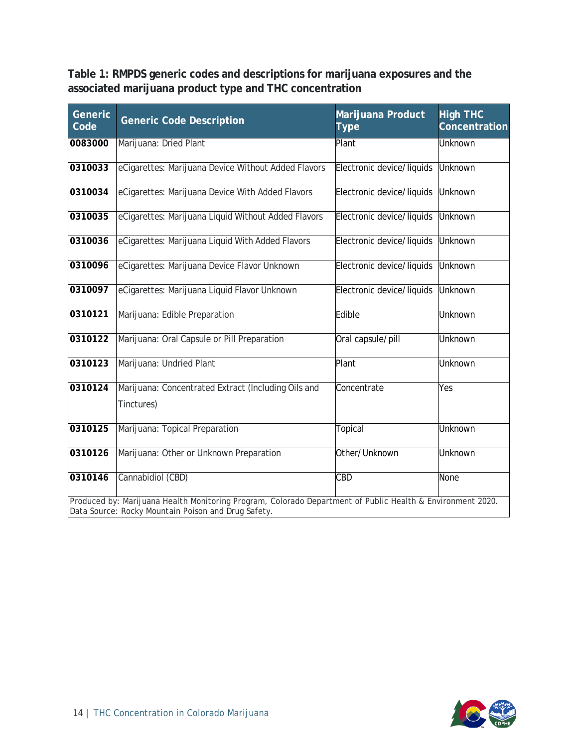<span id="page-14-0"></span>**Table 1: RMPDS generic codes and descriptions for marijuana exposures and the associated marijuana product type and THC concentration**

| Generic<br>Code | <b>Generic Code Description</b>                                                                                                                                   | Marijuana Product<br>Type | <b>High THC</b><br>Concentration |
|-----------------|-------------------------------------------------------------------------------------------------------------------------------------------------------------------|---------------------------|----------------------------------|
| 0083000         | Marijuana: Dried Plant                                                                                                                                            | Plant                     | Unknown                          |
| 0310033         | eCigarettes: Marijuana Device Without Added Flavors                                                                                                               | Electronic device/liquids | <b>Unknown</b>                   |
| 0310034         | eCigarettes: Marijuana Device With Added Flavors                                                                                                                  | Electronic device/liquids | <b>Unknown</b>                   |
| 0310035         | eCigarettes: Marijuana Liquid Without Added Flavors                                                                                                               | Electronic device/liquids | <b>Unknown</b>                   |
| 0310036         | eCigarettes: Marijuana Liquid With Added Flavors                                                                                                                  | Electronic device/liquids | <b>Unknown</b>                   |
| 0310096         | eCigarettes: Marijuana Device Flavor Unknown                                                                                                                      | Electronic device/liquids | <b>Unknown</b>                   |
| 0310097         | eCigarettes: Marijuana Liquid Flavor Unknown                                                                                                                      | Electronic device/liquids | Unknown                          |
| 0310121         | Marijuana: Edible Preparation                                                                                                                                     | Edible                    | Unknown                          |
| 0310122         | Marijuana: Oral Capsule or Pill Preparation                                                                                                                       | Oral capsule/pill         | Unknown                          |
| 0310123         | Marijuana: Undried Plant                                                                                                                                          | Plant                     | Unknown                          |
| 0310124         | Marijuana: Concentrated Extract (Including Oils and<br>Tinctures)                                                                                                 | Concentrate               | Yes                              |
| 0310125         | Marijuana: Topical Preparation                                                                                                                                    | Topical                   | Unknown                          |
| 0310126         | Marijuana: Other or Unknown Preparation                                                                                                                           | Other/Unknown             | <b>Unknown</b>                   |
| 0310146         | Cannabidiol (CBD)                                                                                                                                                 | <b>CBD</b>                | None                             |
|                 | Produced by: Marijuana Health Monitoring Program, Colorado Department of Public Health & Environment 2020.<br>Data Source: Rocky Mountain Poison and Drug Safety. |                           |                                  |

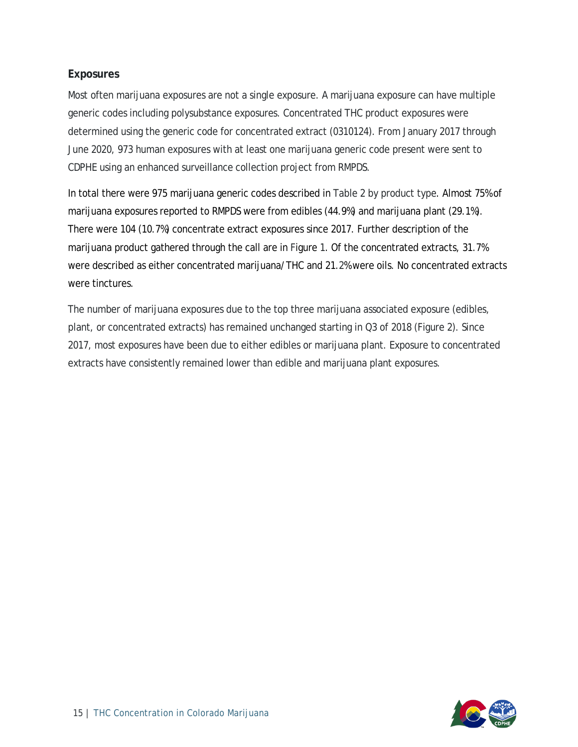#### <span id="page-15-0"></span>**Exposures**

Most often marijuana exposures are not a single exposure. A marijuana exposure can have multiple generic codes including polysubstance exposures. Concentrated THC product exposures were determined using the generic code for concentrated extract (0310124). From January 2017 through June 2020, 973 human exposures with at least one marijuana generic code present were sent to CDPHE using an enhanced surveillance collection project from RMPDS.

In total there were 975 marijuana generic codes described in Table 2 by product type. Almost 75% of marijuana exposures reported to RMPDS were from edibles (44.9%) and marijuana plant (29.1%). There were 104 (10.7%) concentrate extract exposures since 2017. Further description of the marijuana product gathered through the call are in Figure 1. Of the concentrated extracts, 31.7% were described as either concentrated marijuana/THC and 21.2% were oils. No concentrated extracts were tinctures.

The number of marijuana exposures due to the top three marijuana associated exposure (edibles, plant, or concentrated extracts) has remained unchanged starting in Q3 of 2018 (Figure 2). Since 2017, most exposures have been due to either edibles or marijuana plant. Exposure to concentrated extracts have consistently remained lower than edible and marijuana plant exposures.

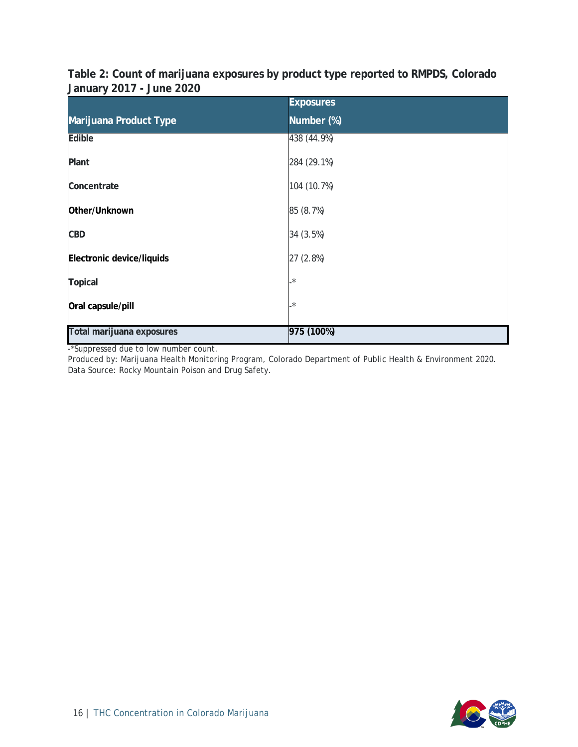<span id="page-16-0"></span>**Table 2: Count of marijuana exposures by product type reported to RMPDS, Colorado January 2017 - June 2020**

|                           | <b>Exposures</b> |
|---------------------------|------------------|
| Marijuana Product Type    | Number (%)       |
| Edible                    | 438 (44.9%)      |
| Plant                     | 284 (29.1%)      |
| Concentrate               | 104 (10.7%)      |
| Other/Unknown             | 85 (8.7%)        |
| <b>CBD</b>                | 34 (3.5%)        |
| Electronic device/liquids | 27 (2.8%)        |
| <b>Topical</b>            | $\star$          |
| Oral capsule/pill         | $\star$          |
| Total marijuana exposures | 975 (100%)       |

-\*Suppressed due to low number count.

Produced by: Marijuana Health Monitoring Program, Colorado Department of Public Health & Environment 2020. Data Source: Rocky Mountain Poison and Drug Safety.

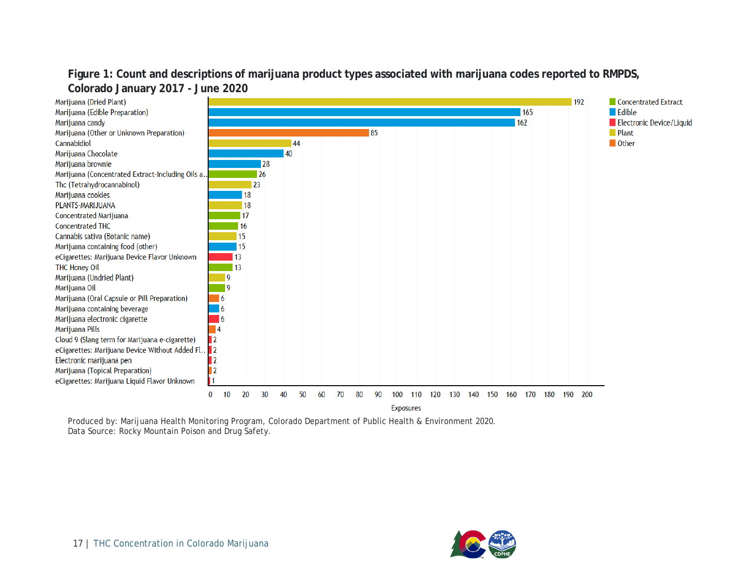#### **Figure 1: Count and descriptions of marijuana product types associated with marijuana codes reported to RMPDS, Colorado January 2017 - June 2020**

<span id="page-17-0"></span>

Produced by: Marijuana Health Monitoring Program, Colorado Department of Public Health & Environment 2020. Data Source: Rocky Mountain Poison and Drug Safety.

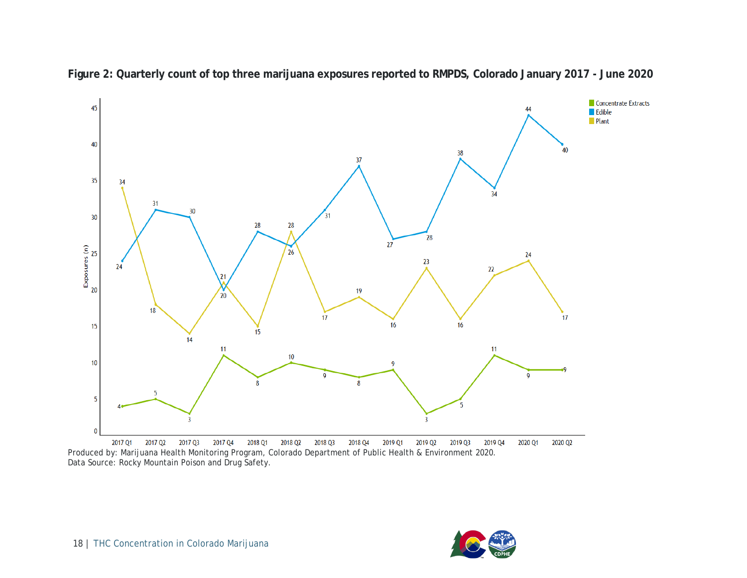<span id="page-18-0"></span>

**Figure 2: Quarterly count of top three marijuana exposures reported to RMPDS, Colorado January 2017 - June 2020**

2017 Q<sub>2</sub> 2017 Q3 2017 Q4 2018 Q1 2018 Q2 2018 Q3 2018 Q4 2019 Q1 2019 Q2 2019 Q3 2019 Q4 2017 Q1 2020 Q1 2020 Q2 Produced by: Marijuana Health Monitoring Program, Colorado Department of Public Health & Environment 2020. Data Source: Rocky Mountain Poison and Drug Safety.

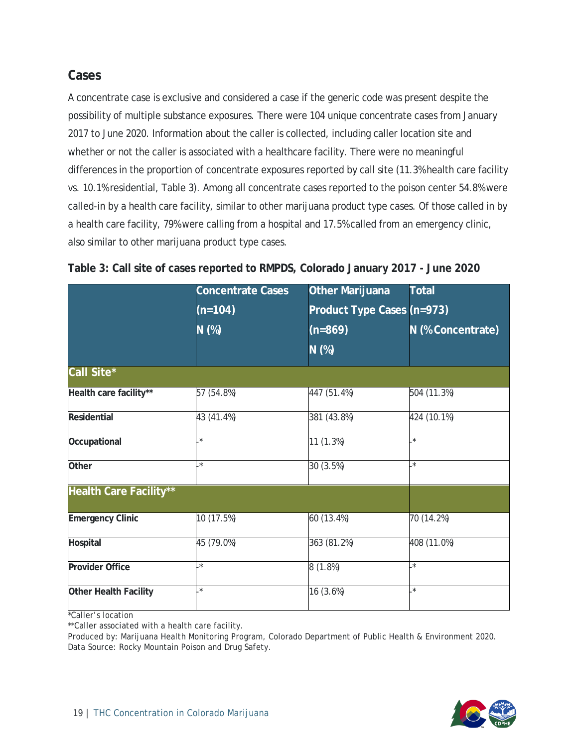#### <span id="page-19-0"></span>**Cases**

A concentrate case is exclusive and considered a case if the generic code was present despite the possibility of multiple substance exposures. There were 104 unique concentrate cases from January 2017 to June 2020. Information about the caller is collected, including caller location site and whether or not the caller is associated with a healthcare facility. There were no meaningful differences in the proportion of concentrate exposures reported by call site (11.3% health care facility vs. 10.1% residential, Table 3). Among all concentrate cases reported to the poison center 54.8% were called-in by a health care facility, similar to other marijuana product type cases. Of those called in by a health care facility, 79% were calling from a hospital and 17.5% called from an emergency clinic, also similar to other marijuana product type cases.

|                               | <b>Concentrate Cases</b> | <b>Other Marijuana</b>     | <b>Total</b>      |
|-------------------------------|--------------------------|----------------------------|-------------------|
|                               | $(n=104)$                | Product Type Cases (n=973) |                   |
|                               | $N$ (%)                  | $(n=869)$                  | N (% Concentrate) |
|                               |                          | N (%)                      |                   |
| Call Site*                    |                          |                            |                   |
| Health care facility**        | 57 (54.8%)               | 447 (51.4%)                | 504 (11.3%)       |
| Residential                   | 43 (41.4%)               | 381 (43.8%)                | 424 (10.1%)       |
| Occupational                  | $\star$                  | 11 (1.3%)                  | $\cdot^*$         |
| Other                         | $\star$                  | 30 (3.5%)                  | $\star$           |
| <b>Health Care Facility**</b> |                          |                            |                   |
| <b>Emergency Clinic</b>       | 10 (17.5%)               | 60 (13.4%)                 | 70 (14.2%)        |
| Hospital                      | 45 (79.0%)               | 363 (81.2%)                | 408 (11.0%)       |
| <b>Provider Office</b>        | $\star$                  | 8(1.8%)                    | $\star$           |
| Other Health Facility         | $\star$                  | 16 (3.6%)                  | $\star$           |

<span id="page-19-1"></span>

|  |  | Table 3: Call site of cases reported to RMPDS, Colorado January 2017 - June 2020 |  |
|--|--|----------------------------------------------------------------------------------|--|
|  |  |                                                                                  |  |

\*Caller's location

\*\*Caller associated with a health care facility.

Produced by: Marijuana Health Monitoring Program, Colorado Department of Public Health & Environment 2020. Data Source: Rocky Mountain Poison and Drug Safety.

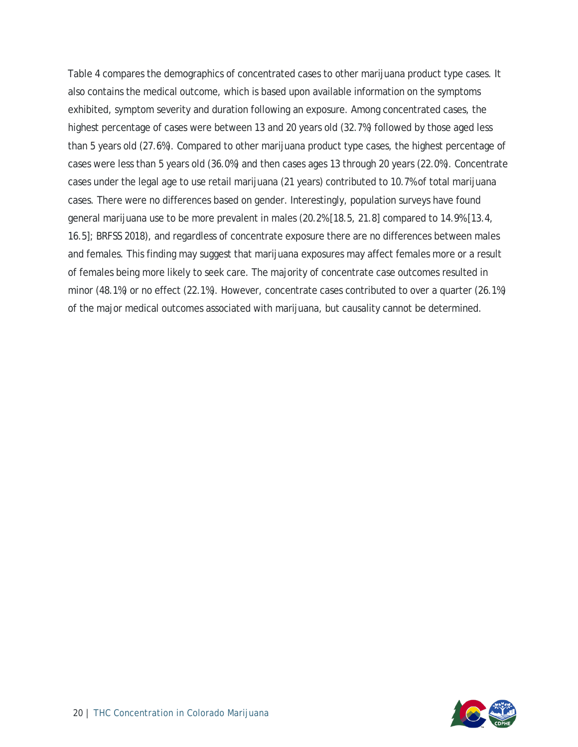Table 4 compares the demographics of concentrated cases to other marijuana product type cases. It also contains the medical outcome, which is based upon available information on the symptoms exhibited, symptom severity and duration following an exposure. Among concentrated cases, the highest percentage of cases were between 13 and 20 years old (32.7%) followed by those aged less than 5 years old (27.6%). Compared to other marijuana product type cases, the highest percentage of cases were less than 5 years old (36.0%) and then cases ages 13 through 20 years (22.0%). Concentrate cases under the legal age to use retail marijuana (21 years) contributed to 10.7% of total marijuana cases. There were no differences based on gender. Interestingly, population surveys have found general marijuana use to be more prevalent in males (20.2% [18.5, 21.8] compared to 14.9% [13.4, 16.5]; BRFSS 2018), and regardless of concentrate exposure there are no differences between males and females. This finding may suggest that marijuana exposures may affect females more or a result of females being more likely to seek care. The majority of concentrate case outcomes resulted in minor (48.1%) or no effect (22.1%). However, concentrate cases contributed to over a quarter (26.1%) of the major medical outcomes associated with marijuana, but causality cannot be determined.

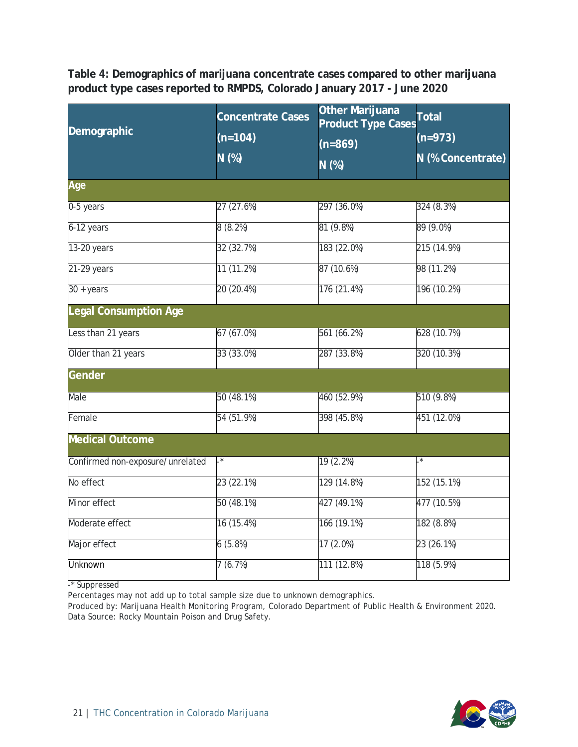<span id="page-21-0"></span>**Table 4: Demographics of marijuana concentrate cases compared to other marijuana product type cases reported to RMPDS, Colorado January 2017 - June 2020**

| Demographic                      | <b>Concentrate Cases</b><br>$(n=104)$ | Other Marijuana<br><b>Product Type Cases</b> | <b>Total</b><br>$(n=973)$ |
|----------------------------------|---------------------------------------|----------------------------------------------|---------------------------|
|                                  | $N$ (%)                               | $(n=869)$<br>N(%)                            | N (% Concentrate)         |
| Age                              |                                       |                                              |                           |
| 0-5 years                        | 27 (27.6%)                            | 297 (36.0%)                                  | 324 (8.3%)                |
| 6-12 years                       | 8(8.2%)                               | 81 (9.8%)                                    | 89 (9.0%)                 |
| 13-20 years                      | 32 (32.7%)                            | 183 (22.0%)                                  | 215 (14.9%)               |
| $21-29$ years                    | 11 (11.2%)                            | 87 (10.6%)                                   | 98 (11.2%)                |
| $30 + \text{years}$              | 20 (20.4%)                            | 176 (21.4%)                                  | 196 (10.2%)               |
| <b>Legal Consumption Age</b>     |                                       |                                              |                           |
| Less than 21 years               | 67 (67.0%)                            | 561 (66.2%)                                  | 628 (10.7%)               |
| Older than 21 years              | 33 (33.0%)                            | 287 (33.8%)                                  | 320 (10.3%)               |
| Gender                           |                                       |                                              |                           |
| Male                             | 50 (48.1%)                            | 460 (52.9%)                                  | 510 (9.8%)                |
| Female                           | 54 (51.9%)                            | 398 (45.8%)                                  | 451 (12.0%)               |
| <b>Medical Outcome</b>           |                                       |                                              |                           |
| Confirmed non-exposure/unrelated | $\cdot^*$                             | 19 (2.2%)                                    | $\cdot^*$                 |
| No effect                        | 23 (22.1%)                            | 129 (14.8%)                                  | 152 (15.1%)               |
| Minor effect                     | 50 (48.1%)                            | 427 (49.1%)                                  | 477 (10.5%)               |
| Moderate effect                  | 16 (15.4%)                            | 166 (19.1%)                                  | 182 (8.8%)                |
| Major effect                     | 6(5.8%)                               | 17(2.0%)                                     | 23 (26.1%)                |
| <b>Unknown</b>                   | 7(6.7%)                               | 111 (12.8%)                                  | 118 (5.9%)                |

-\* Suppressed

Percentages may not add up to total sample size due to unknown demographics.

Produced by: Marijuana Health Monitoring Program, Colorado Department of Public Health & Environment 2020. Data Source: Rocky Mountain Poison and Drug Safety.

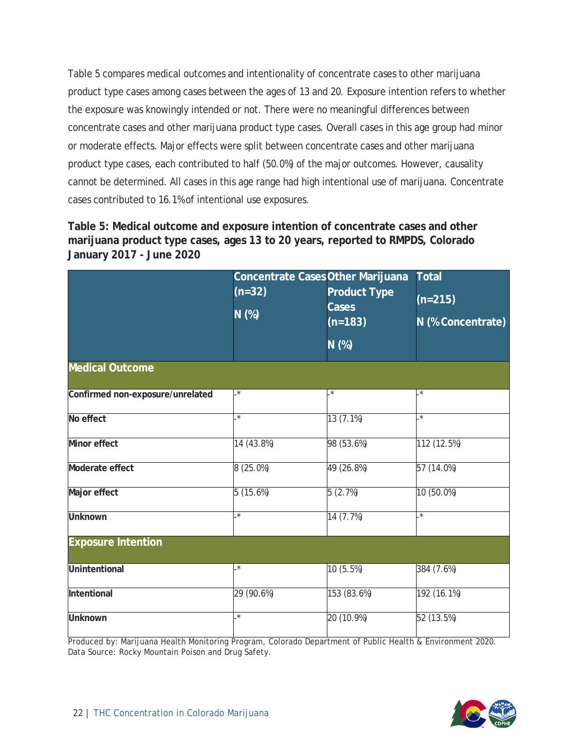Table 5 compares medical outcomes and intentionality of concentrate cases to other marijuana product type cases among cases between the ages of 13 and 20. Exposure intention refers to whether the exposure was knowingly intended or not. There were no meaningful differences between concentrate cases and other marijuana product type cases. Overall cases in this age group had minor or moderate effects. Major effects were split between concentrate cases and other marijuana product type cases, each contributed to half (50.0%) of the major outcomes. However, causality cannot be determined. All cases in this age range had high intentional use of marijuana. Concentrate cases contributed to 16.1% of intentional use exposures.

<span id="page-22-0"></span>**Table 5: Medical outcome and exposure intention of concentrate cases and other marijuana product type cases, ages 13 to 20 years, reported to RMPDS, Colorado January 2017 - June 2020**

|                                  | Concentrate Cases Other Marijuana<br>$(n=32)$ | <b>Product Type</b> | <b>Total</b>      |
|----------------------------------|-----------------------------------------------|---------------------|-------------------|
|                                  |                                               | <b>Cases</b>        | $(n=215)$         |
|                                  | N (%)                                         | $(n=183)$           | N (% Concentrate) |
|                                  |                                               | N (%)               |                   |
| <b>Medical Outcome</b>           |                                               |                     |                   |
| Confirmed non-exposure/unrelated | $\star$                                       | $\cdot^*$           | .*                |
| No effect                        | $\star$                                       | 13 (7.1%)           | $\ast$            |
| <b>Minor effect</b>              | 14 (43.8%)                                    | 98 (53.6%)          | 112 (12.5%)       |
| Moderate effect                  | $8(25.0\%)$                                   | 49 (26.8%)          | 57 (14.0%)        |
| Major effect                     | 5(15.6%)                                      | 5(2.7%)             | 10 (50.0%)        |
| <b>Unknown</b>                   | $^\star$                                      | 14 (7.7%)           | $\cdot^*$         |
| <b>Exposure Intention</b>        |                                               |                     |                   |
| <b>Unintentional</b>             | $\star$                                       | 10 (5.5%)           | 384 (7.6%)        |
| Intentional                      | 29 (90.6%)                                    | 153 (83.6%)         | 192 (16.1%)       |
| <b>Unknown</b>                   | $\star$                                       | 20 (10.9%)          | 52 (13.5%)        |

Produced by: Marijuana Health Monitoring Program, Colorado Department of Public Health & Environment 2020. Data Source: Rocky Mountain Poison and Drug Safety.

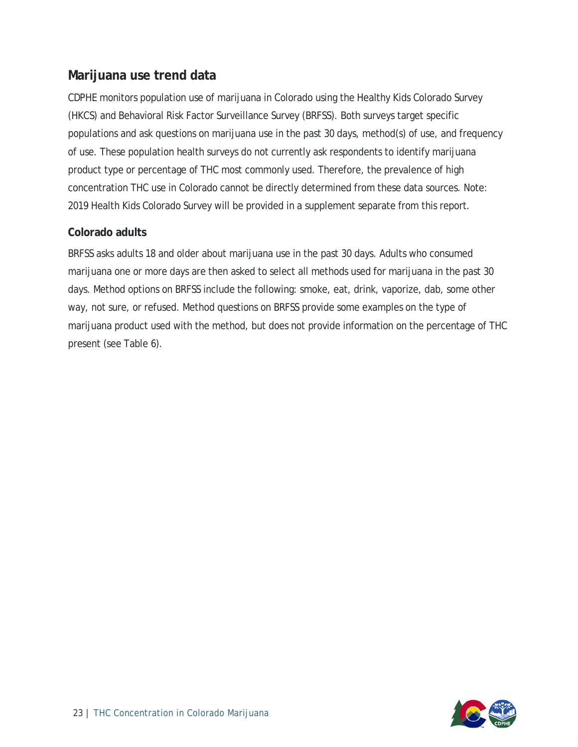#### <span id="page-23-0"></span>**Marijuana use trend data**

CDPHE monitors population use of marijuana in Colorado using the Healthy Kids Colorado Survey (HKCS) and Behavioral Risk Factor Surveillance Survey (BRFSS). Both surveys target specific populations and ask questions on marijuana use in the past 30 days, method(s) of use, and frequency of use. These population health surveys do not currently ask respondents to identify marijuana product type or percentage of THC most commonly used. Therefore, the prevalence of high concentration THC use in Colorado cannot be directly determined from these data sources. Note: 2019 Health Kids Colorado Survey will be provided in a supplement separate from this report.

#### <span id="page-23-1"></span>**Colorado adults**

BRFSS asks adults 18 and older about marijuana use in the past 30 days. Adults who consumed marijuana one or more days are then asked to select all methods used for marijuana in the past 30 days. Method options on BRFSS include the following: smoke, eat, drink, vaporize, dab, some other way, not sure, or refused. Method questions on BRFSS provide some examples on the type of marijuana product used with the method, but does not provide information on the percentage of THC present (see Table 6).

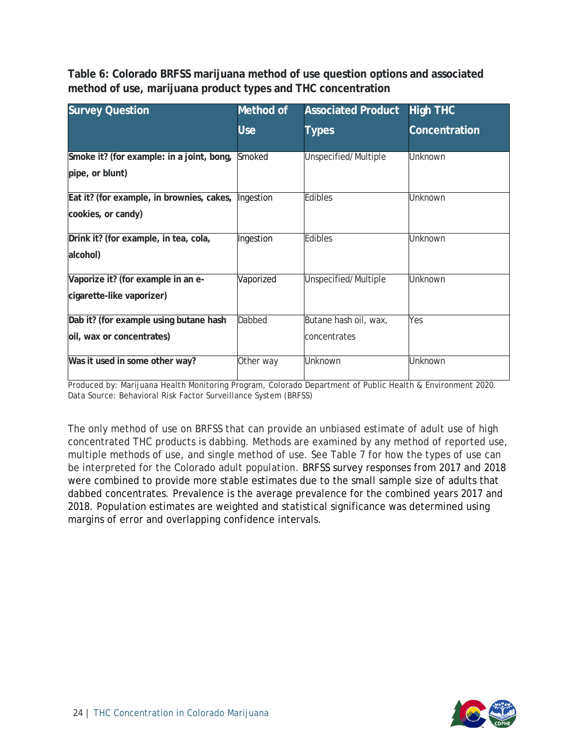<span id="page-24-0"></span>**Table 6: Colorado BRFSS marijuana method of use question options and associated method of use, marijuana product types and THC concentration**

| <b>Survey Question</b>                               | Method of  | <b>Associated Product</b> | <b>High THC</b> |
|------------------------------------------------------|------------|---------------------------|-----------------|
|                                                      | <b>Use</b> | <b>Types</b>              | Concentration   |
| Smoke it? (for example: in a joint, bong,            | Smoked     | Unspecified/Multiple      | <b>Unknown</b>  |
| pipe, or blunt)                                      |            |                           |                 |
| Eat it? (for example, in brownies, cakes,  Ingestion |            | <b>Edibles</b>            | Unknown         |
| cookies, or candy)                                   |            |                           |                 |
| Drink it? (for example, in tea, cola,                | Ingestion  | <b>Edibles</b>            | <b>Unknown</b>  |
| alcohol)                                             |            |                           |                 |
| Vaporize it? (for example in an e-                   | Vaporized  | Unspecified/Multiple      | Unknown         |
| cigarette-like vaporizer)                            |            |                           |                 |
| Dab it? (for example using butane hash               | Dabbed     | Butane hash oil, wax,     | Yes             |
| oil, wax or concentrates)                            |            | concentrates              |                 |
| Was it used in some other way?                       | Other way  | <b>Unknown</b>            | Unknown         |

Produced by: Marijuana Health Monitoring Program, Colorado Department of Public Health & Environment 2020. Data Source: Behavioral Risk Factor Surveillance System (BRFSS)

The only method of use on BRFSS that can provide an unbiased estimate of adult use of high concentrated THC products is dabbing. Methods are examined by any method of reported use, multiple methods of use, and single method of use. See Table 7 for how the types of use can be interpreted for the Colorado adult population. BRFSS survey responses from 2017 and 2018 were combined to provide more stable estimates due to the small sample size of adults that dabbed concentrates. Prevalence is the average prevalence for the combined years 2017 and 2018. Population estimates are weighted and statistical significance was determined using margins of error and overlapping confidence intervals.

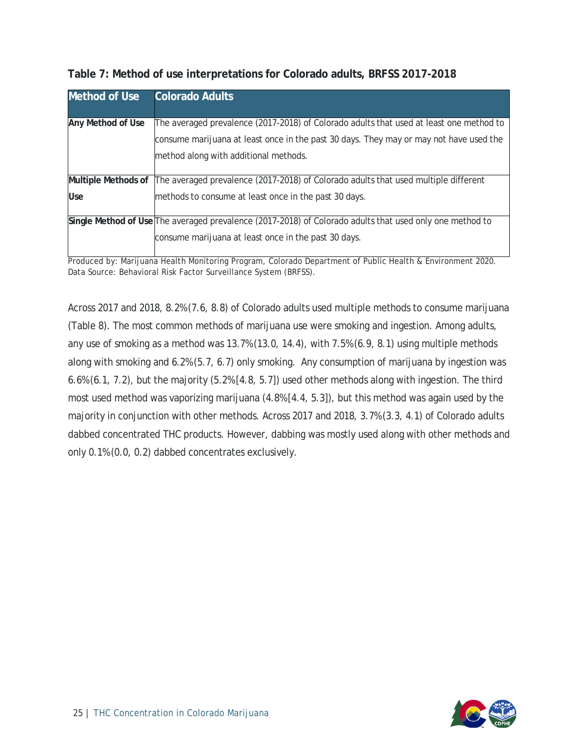| <b>Method of Use</b> | <b>Colorado Adults</b>                                                                                                                                                                                                     |
|----------------------|----------------------------------------------------------------------------------------------------------------------------------------------------------------------------------------------------------------------------|
| Any Method of Use    | The averaged prevalence (2017-2018) of Colorado adults that used at least one method to<br>consume marijuana at least once in the past 30 days. They may or may not have used the<br>method along with additional methods. |
| Multiple Methods of  | The averaged prevalence (2017-2018) of Colorado adults that used multiple different                                                                                                                                        |
| <b>Use</b>           | methods to consume at least once in the past 30 days.                                                                                                                                                                      |
|                      | Single Method of Use The averaged prevalence (2017-2018) of Colorado adults that used only one method to<br>consume marijuana at least once in the past 30 days.                                                           |

<span id="page-25-0"></span>

|  | Table 7: Method of use interpretations for Colorado adults, BRFSS 2017-2018 |  |
|--|-----------------------------------------------------------------------------|--|
|  |                                                                             |  |

Produced by: Marijuana Health Monitoring Program, Colorado Department of Public Health & Environment 2020. Data Source: Behavioral Risk Factor Surveillance System (BRFSS).

Across 2017 and 2018, 8.2% (7.6, 8.8) of Colorado adults used multiple methods to consume marijuana (Table 8). The most common methods of marijuana use were smoking and ingestion. Among adults, any use of smoking as a method was 13.7% (13.0, 14.4), with 7.5% (6.9, 8.1) using multiple methods along with smoking and 6.2% (5.7, 6.7) only smoking. Any consumption of marijuana by ingestion was 6.6% (6.1, 7.2), but the majority (5.2% [4.8, 5.7]) used other methods along with ingestion. The third most used method was vaporizing marijuana (4.8% [4.4, 5.3]), but this method was again used by the majority in conjunction with other methods. Across 2017 and 2018, 3.7% (3.3, 4.1) of Colorado adults dabbed concentrated THC products. However, dabbing was mostly used along with other methods and only 0.1% (0.0, 0.2) dabbed concentrates exclusively.

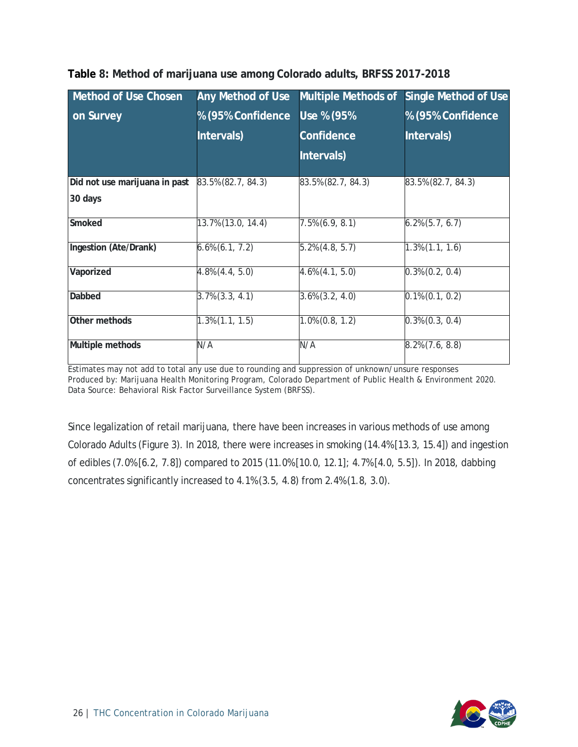| Method of Use Chosen          | <b>Any Method of Use</b> | <b>Multiple Methods of</b> | <b>Single Method of Use</b> |
|-------------------------------|--------------------------|----------------------------|-----------------------------|
| on Survey                     | % (95% Confidence        | Use % (95%                 | % (95% Confidence           |
|                               | Intervals)               | Confidence                 | Intervals)                  |
|                               |                          | Intervals)                 |                             |
| Did not use marijuana in past | 83.5% (82.7, 84.3)       | 83.5% (82.7, 84.3)         | 83.5% (82.7, 84.3)          |
| 30 days                       |                          |                            |                             |
| Smoked                        | 13.7% (13.0, 14.4)       | $7.5\%$ (6.9, 8.1)         | $6.2\%$ $(5.7, 6.7)$        |
| Ingestion (Ate/Drank)         | $6.6\%$ $(6.1, 7.2)$     | $5.2\%$ (4.8, 5.7)         | $1.3\%$ $(1.1, 1.6)$        |
| Vaporized                     | $4.8\%$ $(4.4, 5.0)$     | $4.6\%$ $(4.1, 5.0)$       | $0.3\%$ $(0.2, 0.4)$        |
| Dabbed                        | $3.7\%$ $(3.3, 4.1)$     | $3.6\%$ $(3.2, 4.0)$       | $0.1\%$ $(0.1, 0.2)$        |
| Other methods                 | $1.3\%$ $(1.1, 1.5)$     | $1.0\%$ $(0.8, 1.2)$       | $0.3\%$ $(0.3, 0.4)$        |
| Multiple methods              | N/A                      | N/A                        | $8.2\%$ $(7.6, 8.8)$        |

#### <span id="page-26-0"></span>**Table 8: Method of marijuana use among Colorado adults, BRFSS 2017-2018**

Estimates may not add to total any use due to rounding and suppression of unknown/unsure responses Produced by: Marijuana Health Monitoring Program, Colorado Department of Public Health & Environment 2020. Data Source: Behavioral Risk Factor Surveillance System (BRFSS).

Since legalization of retail marijuana, there have been increases in various methods of use among Colorado Adults (Figure 3). In 2018, there were increases in smoking (14.4% [13.3, 15.4]) and ingestion of edibles (7.0% [6.2, 7.8]) compared to 2015 (11.0% [10.0, 12.1]; 4.7% [4.0, 5.5]). In 2018, dabbing concentrates significantly increased to 4.1% (3.5, 4.8) from 2.4% (1.8, 3.0).

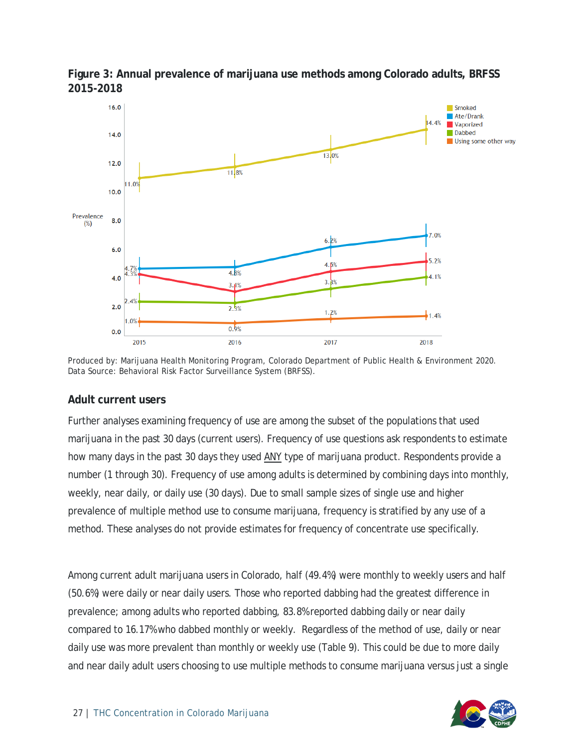

<span id="page-27-0"></span>**Figure 3: Annual prevalence of marijuana use methods among Colorado adults, BRFSS 2015-2018**

Produced by: Marijuana Health Monitoring Program, Colorado Department of Public Health & Environment 2020. Data Source: Behavioral Risk Factor Surveillance System (BRFSS).

#### <span id="page-27-1"></span>**Adult current users**

Further analyses examining frequency of use are among the subset of the populations that used marijuana in the past 30 days (current users). Frequency of use questions ask respondents to estimate how many days in the past 30 days they used ANY type of marijuana product. Respondents provide a number (1 through 30). Frequency of use among adults is determined by combining days into monthly, weekly, near daily, or daily use (30 days). Due to small sample sizes of single use and higher prevalence of multiple method use to consume marijuana, frequency is stratified by any use of a method. These analyses do not provide estimates for frequency of concentrate use specifically.

Among current adult marijuana users in Colorado, half (49.4%) were monthly to weekly users and half (50.6%) were daily or near daily users. Those who reported dabbing had the greatest difference in prevalence; among adults who reported dabbing, 83.8% reported dabbing daily or near daily compared to 16.17% who dabbed monthly or weekly. Regardless of the method of use, daily or near daily use was more prevalent than monthly or weekly use (Table 9). This could be due to more daily and near daily adult users choosing to use multiple methods to consume marijuana versus just a single

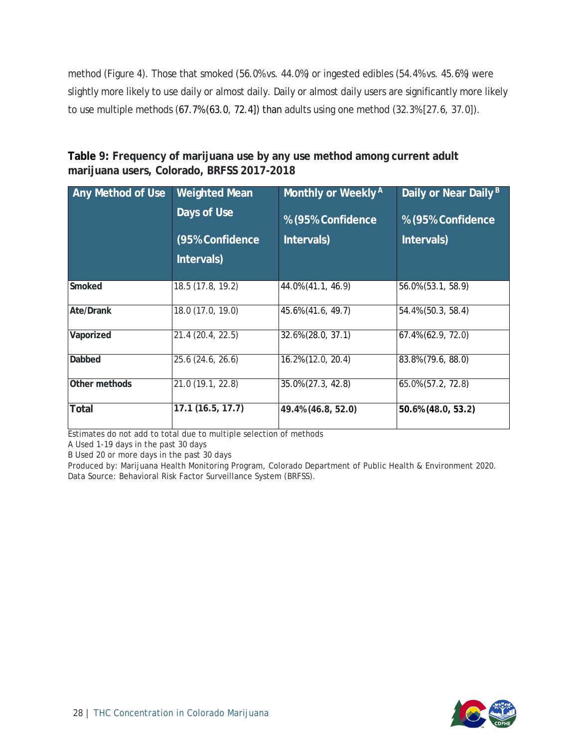method (Figure 4). Those that smoked (56.0% vs. 44.0%) or ingested edibles (54.4% vs. 45.6%) were slightly more likely to use daily or almost daily. Daily or almost daily users are significantly more likely to use multiple methods (67.7% (63.0, 72.4]) than adults using one method (32.3% [27.6, 37.0]).

<span id="page-28-0"></span>**Table 9: Frequency of marijuana use by any use method among current adult marijuana users, Colorado, BRFSS 2017-2018**

| Any Method of Use | <b>Weighted Mean</b><br>Days of Use<br>(95% Confidence | Monthly or Weekly <sup>A</sup><br>% (95% Confidence<br>Intervals) | Daily or Near Daily <sup>B</sup><br>% (95% Confidence<br>Intervals) |
|-------------------|--------------------------------------------------------|-------------------------------------------------------------------|---------------------------------------------------------------------|
|                   | Intervals)                                             |                                                                   |                                                                     |
| Smoked            | 18.5 (17.8, 19.2)                                      | 44.0% (41.1, 46.9)                                                | 56.0% (53.1, 58.9)                                                  |
| <b>Ate/Drank</b>  | 18.0 (17.0, 19.0)                                      | 45.6% (41.6, 49.7)                                                | 54.4% (50.3, 58.4)                                                  |
| Vaporized         | 21.4 (20.4, 22.5)                                      | 32.6% (28.0, 37.1)                                                | 67.4% (62.9, 72.0)                                                  |
| Dabbed            | 25.6 (24.6, 26.6)                                      | 16.2% (12.0, 20.4)                                                | 83.8% (79.6, 88.0)                                                  |
| Other methods     | 21.0 (19.1, 22.8)                                      | 35.0% (27.3, 42.8)                                                | 65.0% (57.2, 72.8)                                                  |
| <b>Total</b>      | 17.1 (16.5, 17.7)                                      | 49.4% (46.8, 52.0)                                                | 50.6% (48.0, 53.2)                                                  |

Estimates do not add to total due to multiple selection of methods

A Used 1-19 days in the past 30 days

B Used 20 or more days in the past 30 days

Produced by: Marijuana Health Monitoring Program, Colorado Department of Public Health & Environment 2020. Data Source: Behavioral Risk Factor Surveillance System (BRFSS).

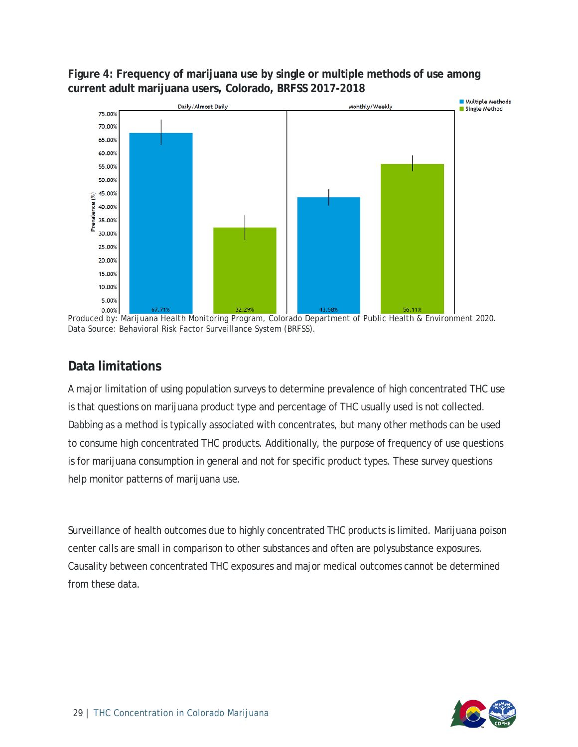

<span id="page-29-0"></span>**Figure 4: Frequency of marijuana use by single or multiple methods of use among current adult marijuana users, Colorado, BRFSS 2017-2018**

Produced by: Marijuana Health Monitoring Program, Colorado Department of Public Health & Environment 2020. Data Source: Behavioral Risk Factor Surveillance System (BRFSS).

#### <span id="page-29-1"></span>**Data limitations**

A major limitation of using population surveys to determine prevalence of high concentrated THC use is that questions on marijuana product type and percentage of THC usually used is not collected. Dabbing as a method is typically associated with concentrates, but many other methods can be used to consume high concentrated THC products. Additionally, the purpose of frequency of use questions is for marijuana consumption in general and not for specific product types. These survey questions help monitor patterns of marijuana use.

Surveillance of health outcomes due to highly concentrated THC products is limited. Marijuana poison center calls are small in comparison to other substances and often are polysubstance exposures. Causality between concentrated THC exposures and major medical outcomes cannot be determined from these data.

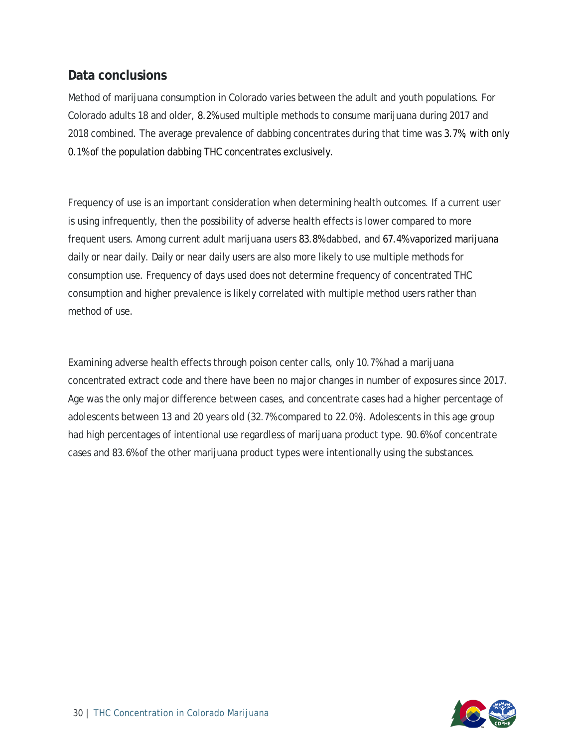#### <span id="page-30-0"></span>**Data conclusions**

Method of marijuana consumption in Colorado varies between the adult and youth populations. For Colorado adults 18 and older, 8.2% used multiple methods to consume marijuana during 2017 and 2018 combined. The average prevalence of dabbing concentrates during that time was 3.7%, with only 0.1% of the population dabbing THC concentrates exclusively.

Frequency of use is an important consideration when determining health outcomes. If a current user is using infrequently, then the possibility of adverse health effects is lower compared to more frequent users. Among current adult marijuana users 83.8% dabbed, and 67.4% vaporized marijuana daily or near daily. Daily or near daily users are also more likely to use multiple methods for consumption use. Frequency of days used does not determine frequency of concentrated THC consumption and higher prevalence is likely correlated with multiple method users rather than method of use.

Examining adverse health effects through poison center calls, only 10.7% had a marijuana concentrated extract code and there have been no major changes in number of exposures since 2017. Age was the only major difference between cases, and concentrate cases had a higher percentage of adolescents between 13 and 20 years old (32.7% compared to 22.0%). Adolescents in this age group had high percentages of intentional use regardless of marijuana product type. 90.6% of concentrate cases and 83.6% of the other marijuana product types were intentionally using the substances.

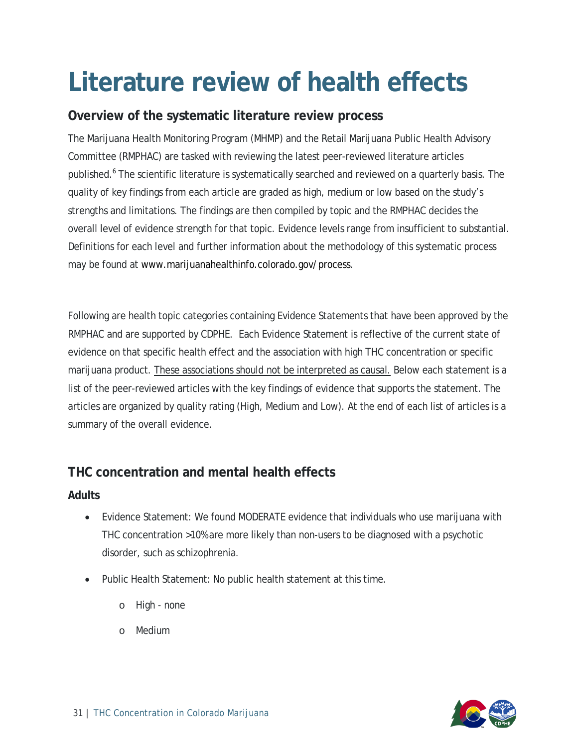## <span id="page-31-0"></span>**Literature review of health effects**

#### <span id="page-31-1"></span>**Overview of the systematic literature review process**

The Marijuana Health Monitoring Program (MHMP) and the Retail Marijuana Public Health Advisory Committee (RMPHAC) are tasked with reviewing the latest peer-reviewed literature articles published.<sup>6</sup> The scientific literature is systematically searched and reviewed on a quarterly basis. The quality of key findings from each article are graded as high, medium or low based on the study's strengths and limitations. The findings are then compiled by topic and the RMPHAC decides the overall level of evidence strength for that topic. Evidence levels range from insufficient to substantial. Definitions for each level and further information about the methodology of this systematic process may be found a[t www.marijuanahealthinfo.colorado.gov/process.](http://www.marijuanahealthinfo.colorado.gov/process)

Following are health topic categories containing Evidence Statements that have been approved by the RMPHAC and are supported by CDPHE. Each Evidence Statement is reflective of the current state of evidence on that specific health effect and the association with high THC concentration or specific marijuana product. These associations should not be interpreted as causal. Below each statement is a list of the peer-reviewed articles with the key findings of evidence that supports the statement. The articles are organized by quality rating (High, Medium and Low). At the end of each list of articles is a summary of the overall evidence.

#### <span id="page-31-2"></span>**THC concentration and mental health effects**

#### <span id="page-31-3"></span>**Adults**

- Evidence Statement: We found MODERATE evidence that individuals who use marijuana with THC concentration >10% are more likely than non-users to be diagnosed with a psychotic disorder, such as schizophrenia.
- Public Health Statement: No public health statement at this time.
	- o High none
	- o Medium

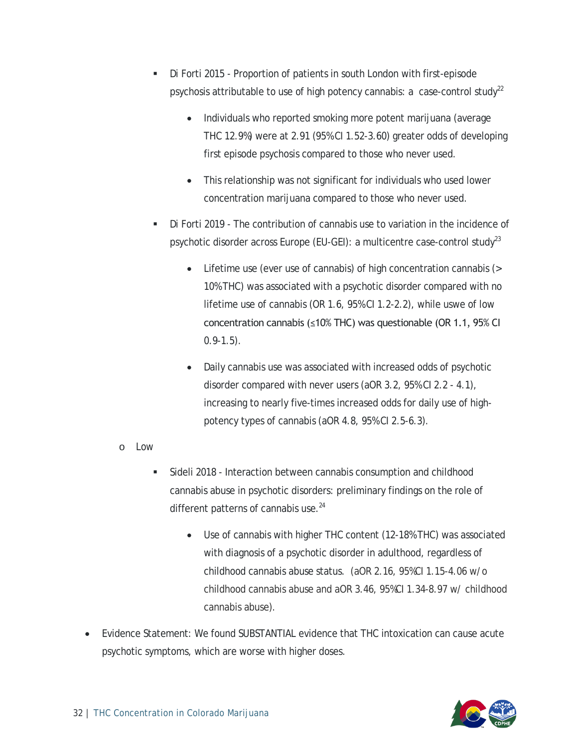- Di Forti 2015 Proportion of patients in south London with first-episode psychosis attributable to use of high potency cannabis: a case-control study<sup>22</sup>
	- Individuals who reported smoking more potent marijuana (average THC 12.9%) were at 2.91 (95% CI 1.52-3.60) greater odds of developing first episode psychosis compared to those who never used.
	- This relationship was not significant for individuals who used lower concentration marijuana compared to those who never used.
- Di Forti 2019 The contribution of cannabis use to variation in the incidence of psychotic disorder across Europe (EU-GEI): a multicentre case-control study<sup>23</sup>
	- Lifetime use (ever use of cannabis) of high concentration cannabis (> 10% THC) was associated with a psychotic disorder compared with no lifetime use of cannabis (OR 1.6, 95% CI 1.2-2.2), while uswe of low concentration cannabis (≤10% THC) was questionable (OR 1.1, 95% CI  $0.9 - 1.5$ ).
	- Daily cannabis use was associated with increased odds of psychotic disorder compared with never users (aOR 3.2, 95% CI 2.2 - 4.1), increasing to nearly five-times increased odds for daily use of highpotency types of cannabis (aOR 4.8, 95% CI 2.5-6.3).
- o Low
	- Sideli 2018 Interaction between cannabis consumption and childhood cannabis abuse in psychotic disorders: preliminary findings on the role of different patterns of cannabis use.<sup>24</sup>
		- Use of cannabis with higher THC content (12-18% THC) was associated with diagnosis of a psychotic disorder in adulthood, regardless of childhood cannabis abuse status. (aOR 2.16, 95%CI 1.15-4.06 w/o childhood cannabis abuse and aOR 3.46, 95%CI 1.34-8.97 w/ childhood cannabis abuse).
- Evidence Statement: We found SUBSTANTIAL evidence that THC intoxication can cause acute psychotic symptoms, which are worse with higher doses.

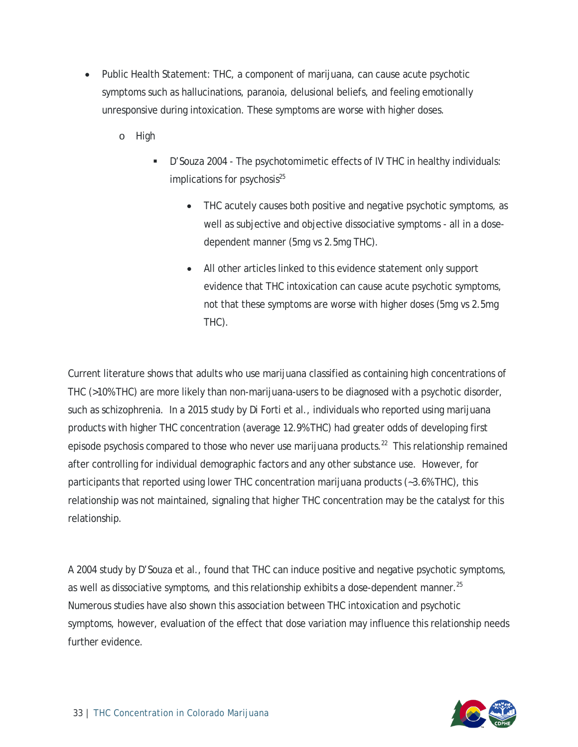- Public Health Statement: THC, a component of marijuana, can cause acute psychotic symptoms such as hallucinations, paranoia, delusional beliefs, and feeling emotionally unresponsive during intoxication. These symptoms are worse with higher doses.
	- o High
		- D'Souza 2004 The psychotomimetic effects of IV THC in healthy individuals: implications for psychosis $^{25}$ 
			- THC acutely causes both positive and negative psychotic symptoms, as well as subjective and objective dissociative symptoms - all in a dosedependent manner (5mg vs 2.5mg THC).
			- All other articles linked to this evidence statement only support evidence that THC intoxication can cause acute psychotic symptoms, not that these symptoms are worse with higher doses (5mg vs 2.5mg THC).

Current literature shows that adults who use marijuana classified as containing high concentrations of THC (>10% THC) are more likely than non-marijuana-users to be diagnosed with a psychotic disorder, such as schizophrenia. In a 2015 study by Di Forti et al., individuals who reported using marijuana products with higher THC concentration (average 12.9% THC) had greater odds of developing first episode psychosis compared to those who never use marijuana products.<sup>22</sup> This relationship remained after controlling for individual demographic factors and any other substance use. However, for participants that reported using lower THC concentration marijuana products (~3.6% THC), this relationship was not maintained, signaling that higher THC concentration may be the catalyst for this relationship.

A 2004 study by D'Souza et al., found that THC can induce positive and negative psychotic symptoms, as well as dissociative symptoms, and this relationship exhibits a dose-dependent manner.<sup>25</sup> Numerous studies have also shown this association between THC intoxication and psychotic symptoms, however, evaluation of the effect that dose variation may influence this relationship needs further evidence.

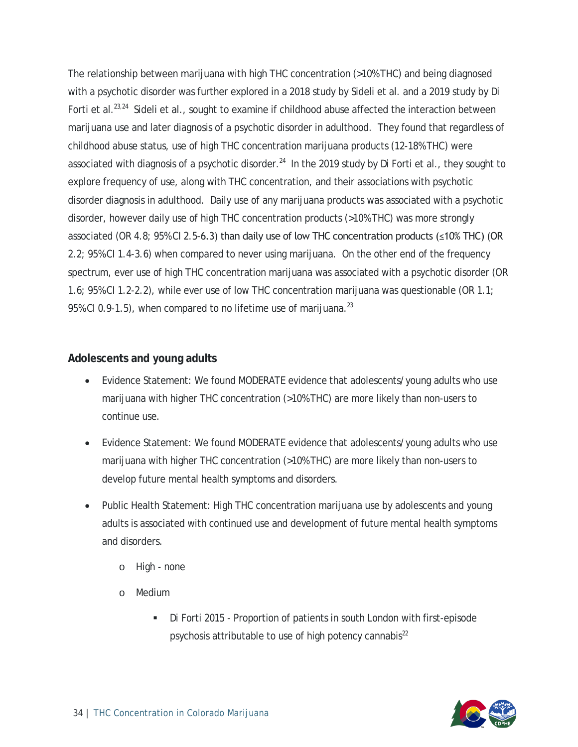The relationship between marijuana with high THC concentration (>10% THC) and being diagnosed with a psychotic disorder was further explored in a 2018 study by Sideli et al. and a 2019 study by Di Forti et al.<sup>23,24</sup> Sideli et al., sought to examine if childhood abuse affected the interaction between marijuana use and later diagnosis of a psychotic disorder in adulthood. They found that regardless of childhood abuse status, use of high THC concentration marijuana products (12-18% THC) were associated with diagnosis of a psychotic disorder.<sup>24</sup> In the 2019 study by Di Forti et al., they sought to explore frequency of use, along with THC concentration, and their associations with psychotic disorder diagnosis in adulthood. Daily use of any marijuana products was associated with a psychotic disorder, however daily use of high THC concentration products (>10% THC) was more strongly associated (OR 4.8; 95% CI 2.5-6.3) than daily use of low THC concentration products (≤10% THC) (OR 2.2; 95% CI 1.4-3.6) when compared to never using marijuana. On the other end of the frequency spectrum, ever use of high THC concentration marijuana was associated with a psychotic disorder (OR 1.6; 95% CI 1.2-2.2), while ever use of low THC concentration marijuana was questionable (OR 1.1; 95% CI 0.9-1.5), when compared to no lifetime use of marijuana. $^{23}$ 

#### <span id="page-34-0"></span>**Adolescents and young adults**

- Evidence Statement: We found MODERATE evidence that adolescents/young adults who use marijuana with higher THC concentration (>10% THC) are more likely than non-users to continue use.
- Evidence Statement: We found MODERATE evidence that adolescents/young adults who use marijuana with higher THC concentration (>10% THC) are more likely than non-users to develop future mental health symptoms and disorders.
- Public Health Statement: High THC concentration marijuana use by adolescents and young adults is associated with continued use and development of future mental health symptoms and disorders.
	- o High none
	- o Medium
		- Di Forti 2015 Proportion of patients in south London with first-episode psychosis attributable to use of high potency cannabis $^{22}$

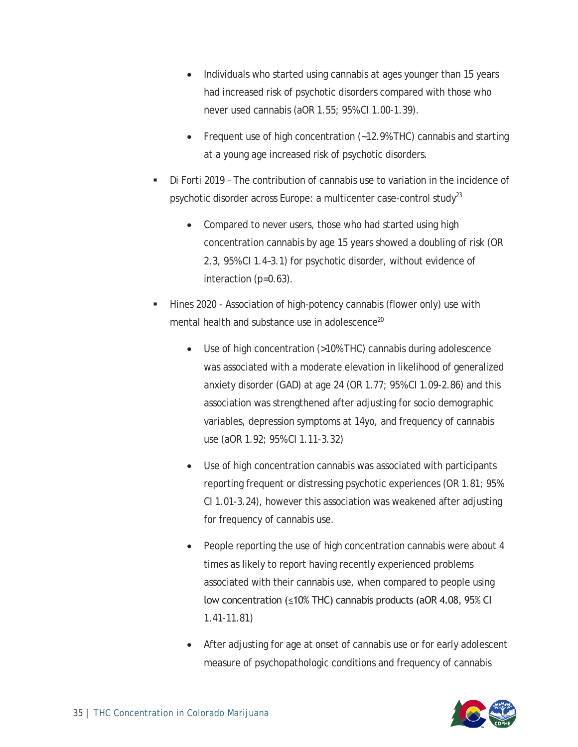- Individuals who started using cannabis at ages younger than 15 years had increased risk of psychotic disorders compared with those who never used cannabis (aOR 1.55; 95% CI 1.00-1.39).
- Frequent use of high concentration (~12.9% THC) cannabis and starting at a young age increased risk of psychotic disorders.
- Di Forti 2019 The contribution of cannabis use to variation in the incidence of psychotic disorder across Europe: a multicenter case-control study $^{23}$ 
	- Compared to never users, those who had started using high concentration cannabis by age 15 years showed a doubling of risk (OR 2.3, 95% CI 1.4–3.1) for psychotic disorder, without evidence of interaction (p=0.63).
- Hines 2020 Association of high-potency cannabis (flower only) use with mental health and substance use in adolescence<sup>20</sup>
	- Use of high concentration (>10% THC) cannabis during adolescence was associated with a moderate elevation in likelihood of generalized anxiety disorder (GAD) at age 24 (OR 1.77; 95% CI 1.09-2.86) and this association was strengthened after adjusting for socio demographic variables, depression symptoms at 14yo, and frequency of cannabis use (aOR 1.92; 95% CI 1.11-3.32)
	- Use of high concentration cannabis was associated with participants reporting frequent or distressing psychotic experiences (OR 1.81; 95% CI 1.01-3.24), however this association was weakened after adjusting for frequency of cannabis use.
	- People reporting the use of high concentration cannabis were about 4 times as likely to report having recently experienced problems associated with their cannabis use, when compared to people using low concentration (≤10% THC) cannabis products (aOR 4.08, 95% CI 1.41-11.81)
	- After adjusting for age at onset of cannabis use or for early adolescent measure of psychopathologic conditions and frequency of cannabis

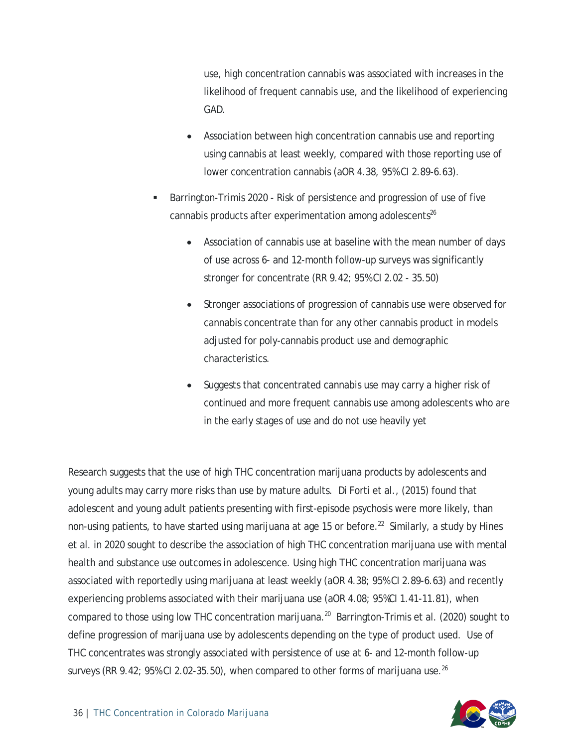use, high concentration cannabis was associated with increases in the likelihood of frequent cannabis use, and the likelihood of experiencing GAD.

- Association between high concentration cannabis use and reporting using cannabis at least weekly, compared with those reporting use of lower concentration cannabis (aOR 4.38, 95% CI 2.89-6.63).
- Barrington-Trimis 2020 Risk of persistence and progression of use of five cannabis products after experimentation among adolescents $26$ 
	- Association of cannabis use at baseline with the mean number of days of use across 6- and 12-month follow-up surveys was significantly stronger for concentrate (RR 9.42; 95% CI 2.02 - 35.50)
	- Stronger associations of progression of cannabis use were observed for cannabis concentrate than for any other cannabis product in models adjusted for poly-cannabis product use and demographic characteristics.
	- Suggests that concentrated cannabis use may carry a higher risk of continued and more frequent cannabis use among adolescents who are in the early stages of use and do not use heavily yet

Research suggests that the use of high THC concentration marijuana products by adolescents and young adults may carry more risks than use by mature adults. Di Forti et al., (2015) found that adolescent and young adult patients presenting with first-episode psychosis were more likely, than non-using patients, to have started using marijuana at age 15 or before.<sup>22</sup> Similarly, a study by Hines et al. in 2020 sought to describe the association of high THC concentration marijuana use with mental health and substance use outcomes in adolescence. Using high THC concentration marijuana was associated with reportedly using marijuana at least weekly (aOR 4.38; 95% CI 2.89-6.63) and recently experiencing problems associated with their marijuana use (aOR 4.08; 95%CI 1.41-11.81), when compared to those using low THC concentration marijuana.<sup>20</sup> Barrington-Trimis et al. (2020) sought to define progression of marijuana use by adolescents depending on the type of product used. Use of THC concentrates was strongly associated with persistence of use at 6- and 12-month follow-up surveys (RR 9.42; 95% CI 2.02-35.50), when compared to other forms of marijuana use.<sup>26</sup>

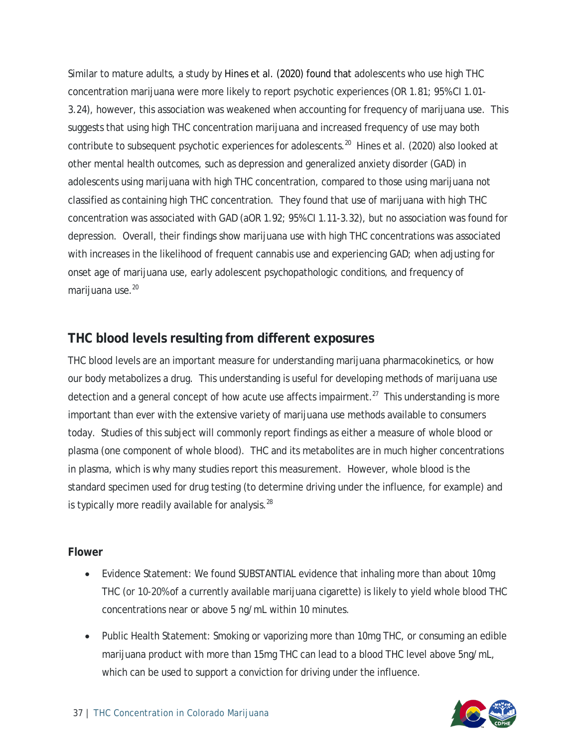Similar to mature adults, a study by Hines et al. (2020) found that adolescents who use high THC concentration marijuana were more likely to report psychotic experiences (OR 1.81; 95% CI 1.01- 3.24), however, this association was weakened when accounting for frequency of marijuana use. This suggests that using high THC concentration marijuana and increased frequency of use may both contribute to subsequent psychotic experiences for adolescents.<sup>20</sup> Hines et al. (2020) also looked at other mental health outcomes, such as depression and generalized anxiety disorder (GAD) in adolescents using marijuana with high THC concentration, compared to those using marijuana not classified as containing high THC concentration. They found that use of marijuana with high THC concentration was associated with GAD (aOR 1.92; 95% CI 1.11-3.32), but no association was found for depression. Overall, their findings show marijuana use with high THC concentrations was associated with increases in the likelihood of frequent cannabis use and experiencing GAD; when adjusting for onset age of marijuana use, early adolescent psychopathologic conditions, and frequency of marijuana use.<sup>20</sup>

#### <span id="page-37-0"></span>**THC blood levels resulting from different exposures**

THC blood levels are an important measure for understanding marijuana pharmacokinetics, or how our body metabolizes a drug. This understanding is useful for developing methods of marijuana use detection and a general concept of how acute use affects impairment.<sup>27</sup> This understanding is more important than ever with the extensive variety of marijuana use methods available to consumers today. Studies of this subject will commonly report findings as either a measure of whole blood or plasma (one component of whole blood). THC and its metabolites are in much higher concentrations in plasma, which is why many studies report this measurement. However, whole blood is the standard specimen used for drug testing (to determine driving under the influence, for example) and is typically more readily available for analysis. $^{28}$ 

#### <span id="page-37-1"></span>**Flower**

- Evidence Statement: We found SUBSTANTIAL evidence that inhaling more than about 10mg THC (or 10-20% of a currently available marijuana cigarette) is likely to yield whole blood THC concentrations near or above 5 ng/mL within 10 minutes.
- Public Health Statement: Smoking or vaporizing more than 10mg THC, or consuming an edible marijuana product with more than 15mg THC can lead to a blood THC level above 5ng/mL, which can be used to support a conviction for driving under the influence.

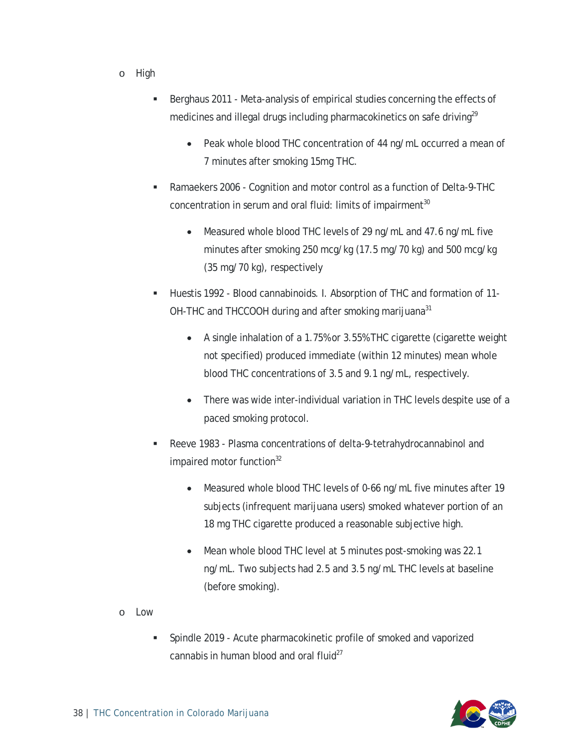- o High
	- Berghaus 2011 Meta-analysis of empirical studies concerning the effects of medicines and illegal drugs including pharmacokinetics on safe driving<sup>29</sup>
		- Peak whole blood THC concentration of 44 ng/mL occurred a mean of 7 minutes after smoking 15mg THC.
	- Ramaekers 2006 Cognition and motor control as a function of Delta-9-THC concentration in serum and oral fluid: limits of impairment<sup>30</sup>
		- Measured whole blood THC levels of 29 ng/mL and 47.6 ng/mL five minutes after smoking 250 mcg/kg (17.5 mg/70 kg) and 500 mcg/kg (35 mg/70 kg), respectively
	- Huestis 1992 Blood cannabinoids. I. Absorption of THC and formation of 11- OH-THC and THCCOOH during and after smoking marijuana<sup>31</sup>
		- A single inhalation of a 1.75% or 3.55% THC cigarette (cigarette weight not specified) produced immediate (within 12 minutes) mean whole blood THC concentrations of 3.5 and 9.1 ng/mL, respectively.
		- There was wide inter-individual variation in THC levels despite use of a paced smoking protocol.
	- Reeve 1983 Plasma concentrations of delta-9-tetrahydrocannabinol and impaired motor function $32$ 
		- Measured whole blood THC levels of 0-66 ng/mL five minutes after 19 subjects (infrequent marijuana users) smoked whatever portion of an 18 mg THC cigarette produced a reasonable subjective high.
		- Mean whole blood THC level at 5 minutes post-smoking was 22.1 ng/mL. Two subjects had 2.5 and 3.5 ng/mL THC levels at baseline (before smoking).
- o Low
	- Spindle 2019 Acute pharmacokinetic profile of smoked and vaporized cannabis in human blood and oral fluid $^{27}$

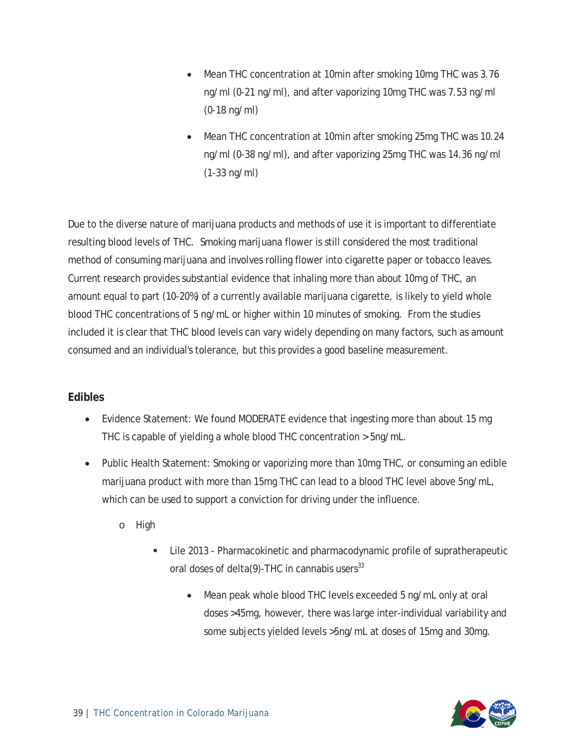- Mean THC concentration at 10min after smoking 10mg THC was 3.76 ng/ml (0-21 ng/ml), and after vaporizing 10mg THC was 7.53 ng/ml (0-18 ng/ml)
- Mean THC concentration at 10min after smoking 25mg THC was 10.24 ng/ml (0-38 ng/ml), and after vaporizing 25mg THC was 14.36 ng/ml (1-33 ng/ml)

Due to the diverse nature of marijuana products and methods of use it is important to differentiate resulting blood levels of THC. Smoking marijuana flower is still considered the most traditional method of consuming marijuana and involves rolling flower into cigarette paper or tobacco leaves. Current research provides substantial evidence that inhaling more than about 10mg of THC, an amount equal to part (10-20%) of a currently available marijuana cigarette, is likely to yield whole blood THC concentrations of 5 ng/mL or higher within 10 minutes of smoking. From the studies included it is clear that THC blood levels can vary widely depending on many factors, such as amount consumed and an individual's tolerance, but this provides a good baseline measurement.

#### <span id="page-39-0"></span>**Edibles**

- Evidence Statement: We found MODERATE evidence that ingesting more than about 15 mg THC is capable of yielding a whole blood THC concentration > 5ng/mL.
- Public Health Statement: Smoking or vaporizing more than 10mg THC, or consuming an edible marijuana product with more than 15mg THC can lead to a blood THC level above 5ng/mL, which can be used to support a conviction for driving under the influence.
	- o High
		- Lile 2013 Pharmacokinetic and pharmacodynamic profile of supratherapeutic oral doses of delta $(9)$ -THC in cannabis users $^{33}$ 
			- Mean peak whole blood THC levels exceeded 5 ng/mL only at oral doses >45mg, however, there was large inter-individual variability and some subjects yielded levels >5ng/mL at doses of 15mg and 30mg.

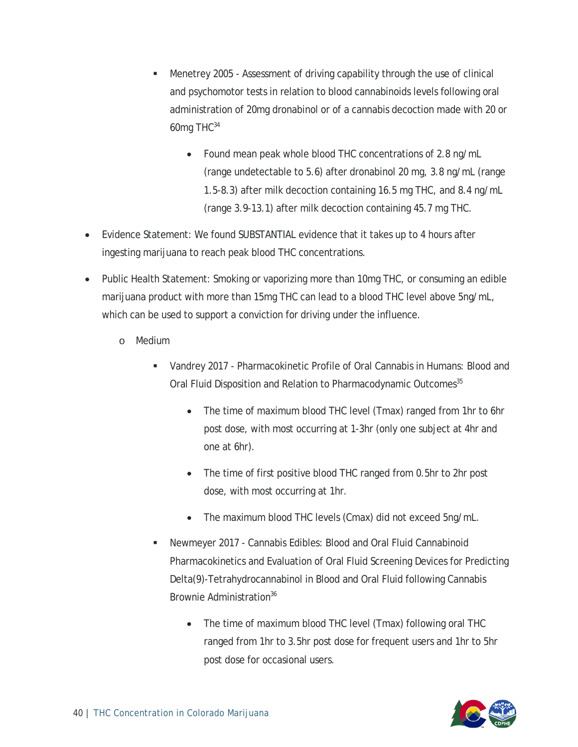- Menetrey 2005 Assessment of driving capability through the use of clinical and psychomotor tests in relation to blood cannabinoids levels following oral administration of 20mg dronabinol or of a cannabis decoction made with 20 or 60mg THC34
	- Found mean peak whole blood THC concentrations of 2.8 ng/mL (range undetectable to 5.6) after dronabinol 20 mg, 3.8 ng/mL (range 1.5-8.3) after milk decoction containing 16.5 mg THC, and 8.4 ng/mL (range 3.9-13.1) after milk decoction containing 45.7 mg THC.
- Evidence Statement: We found SUBSTANTIAL evidence that it takes up to 4 hours after ingesting marijuana to reach peak blood THC concentrations.
- Public Health Statement: Smoking or vaporizing more than 10mg THC, or consuming an edible marijuana product with more than 15mg THC can lead to a blood THC level above 5ng/mL, which can be used to support a conviction for driving under the influence.
	- o Medium
		- Vandrey 2017 Pharmacokinetic Profile of Oral Cannabis in Humans: Blood and Oral Fluid Disposition and Relation to Pharmacodynamic Outcomes<sup>35</sup>
			- The time of maximum blood THC level (Tmax) ranged from 1hr to 6hr post dose, with most occurring at 1-3hr (only one subject at 4hr and one at 6hr).
			- The time of first positive blood THC ranged from 0.5hr to 2hr post dose, with most occurring at 1hr.
			- The maximum blood THC levels (Cmax) did not exceed 5ng/mL.
		- Newmeyer 2017 Cannabis Edibles: Blood and Oral Fluid Cannabinoid Pharmacokinetics and Evaluation of Oral Fluid Screening Devices for Predicting Delta(9)-Tetrahydrocannabinol in Blood and Oral Fluid following Cannabis Brownie Administration<sup>36</sup>
			- The time of maximum blood THC level (Tmax) following oral THC ranged from 1hr to 3.5hr post dose for frequent users and 1hr to 5hr post dose for occasional users.

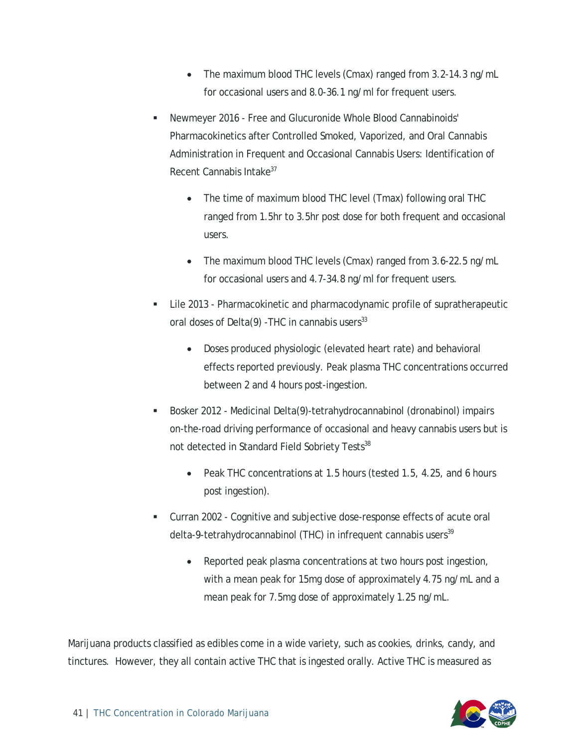- The maximum blood THC levels (Cmax) ranged from 3.2-14.3 ng/mL for occasional users and 8.0-36.1 ng/ml for frequent users.
- Newmeyer 2016 Free and Glucuronide Whole Blood Cannabinoids' Pharmacokinetics after Controlled Smoked, Vaporized, and Oral Cannabis Administration in Frequent and Occasional Cannabis Users: Identification of Recent Cannabis Intake<sup>37</sup>
	- The time of maximum blood THC level (Tmax) following oral THC ranged from 1.5hr to 3.5hr post dose for both frequent and occasional users.
	- The maximum blood THC levels (Cmax) ranged from 3.6-22.5 ng/mL for occasional users and 4.7-34.8 ng/ml for frequent users.
- Lile 2013 Pharmacokinetic and pharmacodynamic profile of supratherapeutic oral doses of Delta $(9)$  -THC in cannabis users<sup>33</sup>
	- Doses produced physiologic (elevated heart rate) and behavioral effects reported previously. Peak plasma THC concentrations occurred between 2 and 4 hours post-ingestion.
- Bosker 2012 Medicinal Delta(9)-tetrahydrocannabinol (dronabinol) impairs on-the-road driving performance of occasional and heavy cannabis users but is not detected in Standard Field Sobriety Tests<sup>38</sup>
	- Peak THC concentrations at 1.5 hours (tested 1.5, 4.25, and 6 hours post ingestion).
- Curran 2002 Cognitive and subjective dose-response effects of acute oral delta-9-tetrahydrocannabinol (THC) in infrequent cannabis users<sup>39</sup>
	- Reported peak plasma concentrations at two hours post ingestion, with a mean peak for 15mg dose of approximately 4.75 ng/mL and a mean peak for 7.5mg dose of approximately 1.25 ng/mL.

Marijuana products classified as edibles come in a wide variety, such as cookies, drinks, candy, and tinctures. However, they all contain active THC that is ingested orally. Active THC is measured as

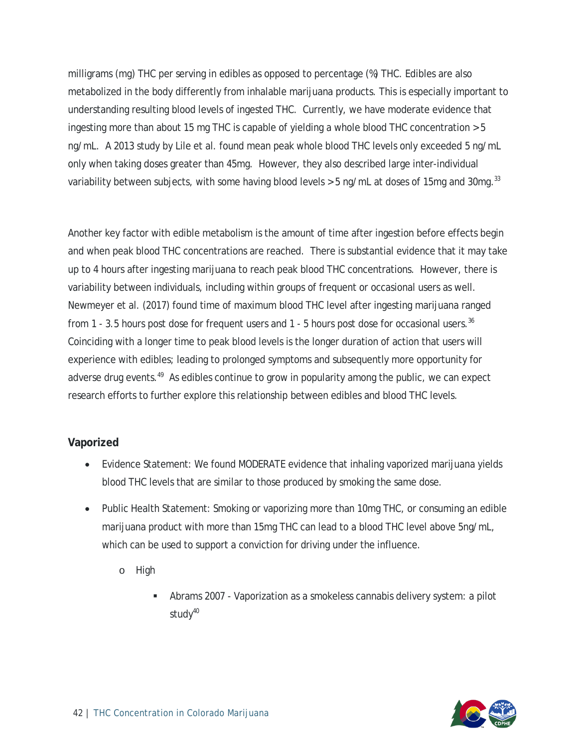milligrams (mg) THC per serving in edibles as opposed to percentage (%) THC. Edibles are also metabolized in the body differently from inhalable marijuana products. This is especially important to understanding resulting blood levels of ingested THC. Currently, we have moderate evidence that ingesting more than about 15 mg THC is capable of yielding a whole blood THC concentration > 5 ng/mL. A 2013 study by Lile et al. found mean peak whole blood THC levels only exceeded 5 ng/mL only when taking doses greater than 45mg. However, they also described large inter-individual variability between subjects, with some having blood levels > 5 ng/mL at doses of 15mg and 30mg.<sup>33</sup>

Another key factor with edible metabolism is the amount of time after ingestion before effects begin and when peak blood THC concentrations are reached. There is substantial evidence that it may take up to 4 hours after ingesting marijuana to reach peak blood THC concentrations. However, there is variability between individuals, including within groups of frequent or occasional users as well. Newmeyer et al. (2017) found time of maximum blood THC level after ingesting marijuana ranged from 1 - 3.5 hours post dose for frequent users and 1 - 5 hours post dose for occasional users.<sup>36</sup> Coinciding with a longer time to peak blood levels is the longer duration of action that users will experience with edibles; leading to prolonged symptoms and subsequently more opportunity for adverse drug events.<sup>49</sup> As edibles continue to grow in popularity among the public, we can expect research efforts to further explore this relationship between edibles and blood THC levels.

#### <span id="page-42-0"></span>**Vaporized**

- Evidence Statement: We found MODERATE evidence that inhaling vaporized marijuana yields blood THC levels that are similar to those produced by smoking the same dose.
- Public Health Statement: Smoking or vaporizing more than 10mg THC, or consuming an edible marijuana product with more than 15mg THC can lead to a blood THC level above 5ng/mL, which can be used to support a conviction for driving under the influence.
	- o High
		- Abrams 2007 Vaporization as a smokeless cannabis delivery system: a pilot stud $v^{40}$

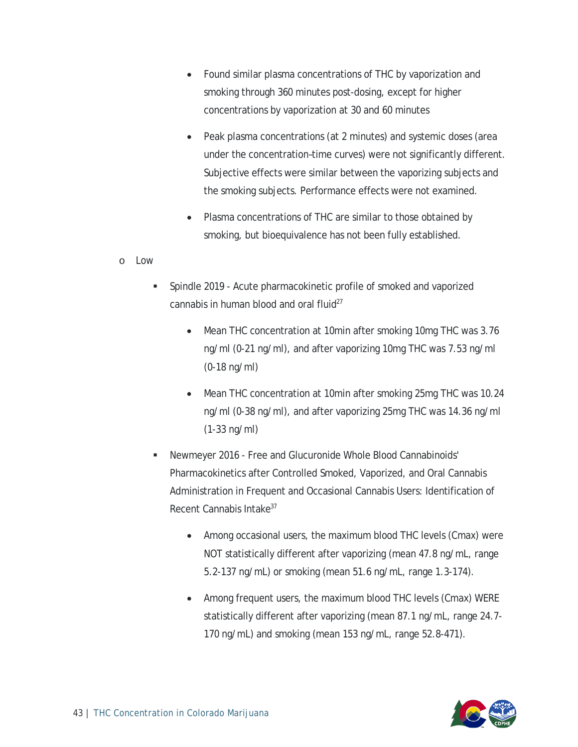- Found similar plasma concentrations of THC by vaporization and smoking through 360 minutes post-dosing, except for higher concentrations by vaporization at 30 and 60 minutes
- Peak plasma concentrations (at 2 minutes) and systemic doses (area under the concentration–time curves) were not significantly different. Subjective effects were similar between the vaporizing subjects and the smoking subjects. Performance effects were not examined.
- Plasma concentrations of THC are similar to those obtained by smoking, but bioequivalence has not been fully established.
- o Low
	- Spindle 2019 Acute pharmacokinetic profile of smoked and vaporized cannabis in human blood and oral fluid $^{27}$ 
		- Mean THC concentration at 10min after smoking 10mg THC was 3.76 ng/ml (0-21 ng/ml), and after vaporizing 10mg THC was 7.53 ng/ml (0-18 ng/ml)
		- Mean THC concentration at 10min after smoking 25mg THC was 10.24 ng/ml (0-38 ng/ml), and after vaporizing 25mg THC was 14.36 ng/ml (1-33 ng/ml)
	- Newmeyer 2016 Free and Glucuronide Whole Blood Cannabinoids' Pharmacokinetics after Controlled Smoked, Vaporized, and Oral Cannabis Administration in Frequent and Occasional Cannabis Users: Identification of Recent Cannabis Intake<sup>37</sup>
		- Among occasional users, the maximum blood THC levels (Cmax) were NOT statistically different after vaporizing (mean 47.8 ng/mL, range 5.2-137 ng/mL) or smoking (mean 51.6 ng/mL, range 1.3-174).
		- Among frequent users, the maximum blood THC levels (Cmax) WERE statistically different after vaporizing (mean 87.1 ng/mL, range 24.7- 170 ng/mL) and smoking (mean 153 ng/mL, range 52.8-471).

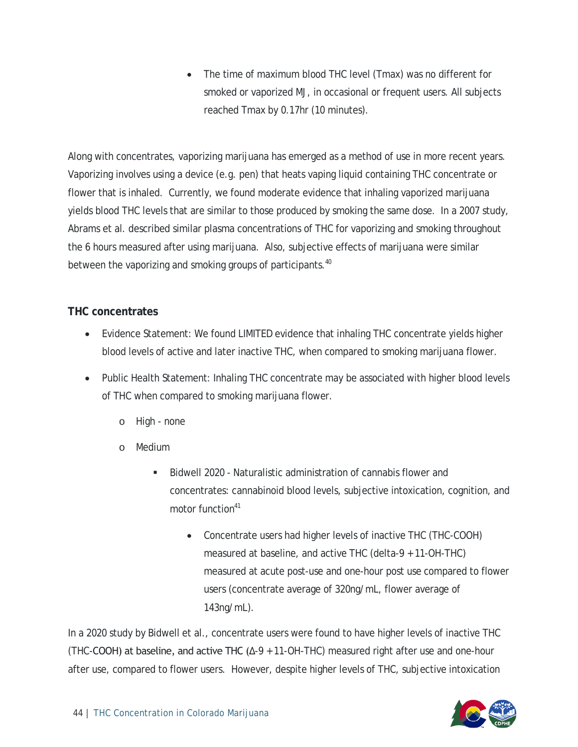• The time of maximum blood THC level (Tmax) was no different for smoked or vaporized MJ, in occasional or frequent users. All subjects reached Tmax by 0.17hr (10 minutes).

Along with concentrates, vaporizing marijuana has emerged as a method of use in more recent years. Vaporizing involves using a device (e.g. pen) that heats vaping liquid containing THC concentrate or flower that is inhaled. Currently, we found moderate evidence that inhaling vaporized marijuana yields blood THC levels that are similar to those produced by smoking the same dose. In a 2007 study, Abrams et al. described similar plasma concentrations of THC for vaporizing and smoking throughout the 6 hours measured after using marijuana. Also, subjective effects of marijuana were similar between the vaporizing and smoking groups of participants.<sup>40</sup>

#### <span id="page-44-0"></span>**THC concentrates**

- Evidence Statement: We found LIMITED evidence that inhaling THC concentrate yields higher blood levels of active and later inactive THC, when compared to smoking marijuana flower.
- Public Health Statement: Inhaling THC concentrate may be associated with higher blood levels of THC when compared to smoking marijuana flower.
	- o High none
	- o Medium
		- Bidwell 2020 Naturalistic administration of cannabis flower and concentrates: cannabinoid blood levels, subjective intoxication, cognition, and motor function<sup>41</sup>
			- Concentrate users had higher levels of inactive THC (THC-COOH) measured at baseline, and active THC (delta-9 + 11-OH-THC) measured at acute post-use and one-hour post use compared to flower users (concentrate average of 320ng/mL, flower average of 143ng/mL).

In a 2020 study by Bidwell et al., concentrate users were found to have higher levels of inactive THC (THC-COOH) at baseline, and active THC (Δ-9 + 11-OH-THC) measured right after use and one-hour after use, compared to flower users. However, despite higher levels of THC, subjective intoxication

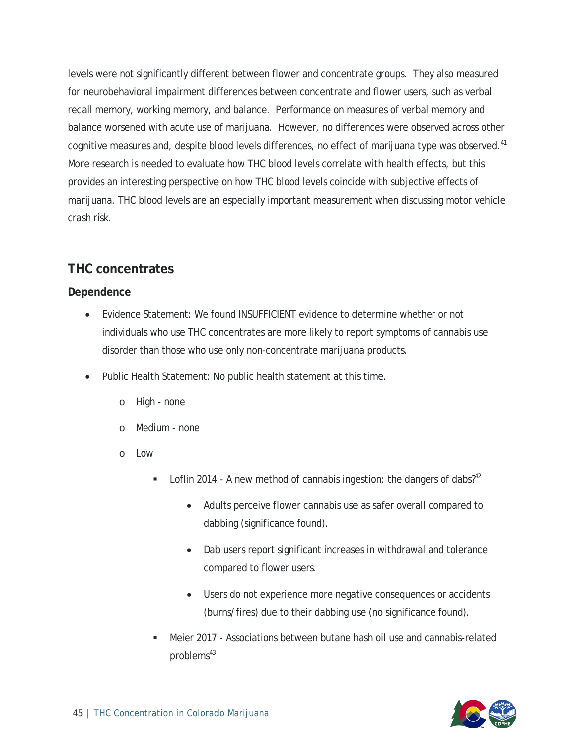levels were not significantly different between flower and concentrate groups. They also measured for neurobehavioral impairment differences between concentrate and flower users, such as verbal recall memory, working memory, and balance. Performance on measures of verbal memory and balance worsened with acute use of marijuana. However, no differences were observed across other cognitive measures and, despite blood levels differences, no effect of marijuana type was observed.<sup>41</sup> More research is needed to evaluate how THC blood levels correlate with health effects, but this provides an interesting perspective on how THC blood levels coincide with subjective effects of marijuana. THC blood levels are an especially important measurement when discussing motor vehicle crash risk.

#### <span id="page-45-0"></span>**THC concentrates**

#### <span id="page-45-1"></span>**Dependence**

- Evidence Statement: We found INSUFFICIENT evidence to determine whether or not individuals who use THC concentrates are more likely to report symptoms of cannabis use disorder than those who use only non-concentrate marijuana products.
- Public Health Statement: No public health statement at this time.
	- o High none
	- o Medium none
	- $\circ$  Low
		- **Loflin 2014 A new method of cannabis ingestion: the dangers of dabs?**<sup>42</sup>
			- Adults perceive flower cannabis use as safer overall compared to dabbing (significance found).
			- Dab users report significant increases in withdrawal and tolerance compared to flower users.
			- Users do not experience more negative consequences or accidents (burns/fires) due to their dabbing use (no significance found).
		- Meier 2017 Associations between butane hash oil use and cannabis-related problems<sup>43</sup>

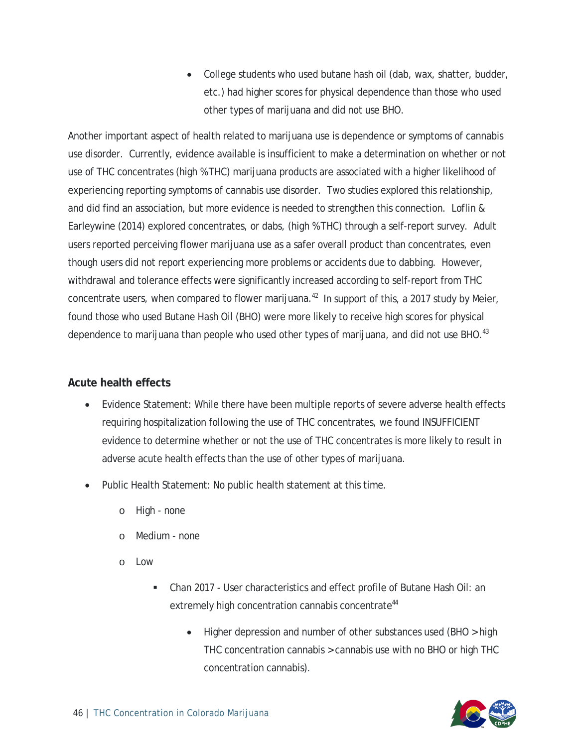• College students who used butane hash oil (dab, wax, shatter, budder, etc.) had higher scores for physical dependence than those who used other types of marijuana and did not use BHO.

Another important aspect of health related to marijuana use is dependence or symptoms of cannabis use disorder. Currently, evidence available is insufficient to make a determination on whether or not use of THC concentrates (high % THC) marijuana products are associated with a higher likelihood of experiencing reporting symptoms of cannabis use disorder. Two studies explored this relationship, and did find an association, but more evidence is needed to strengthen this connection. Loflin & Earleywine (2014) explored concentrates, or dabs, (high % THC) through a self-report survey. Adult users reported perceiving flower marijuana use as a safer overall product than concentrates, even though users did not report experiencing more problems or accidents due to dabbing. However, withdrawal and tolerance effects were significantly increased according to self-report from THC concentrate users, when compared to flower marijuana.<sup>42</sup> In support of this, a 2017 study by Meier, found those who used Butane Hash Oil (BHO) were more likely to receive high scores for physical dependence to marijuana than people who used other types of marijuana, and did not use BHO.<sup>43</sup>

#### <span id="page-46-0"></span>**Acute health effects**

- Evidence Statement: While there have been multiple reports of severe adverse health effects requiring hospitalization following the use of THC concentrates, we found INSUFFICIENT evidence to determine whether or not the use of THC concentrates is more likely to result in adverse acute health effects than the use of other types of marijuana.
- Public Health Statement: No public health statement at this time.
	- o High none
	- o Medium none
	- o Low
		- Chan 2017 User characteristics and effect profile of Butane Hash Oil: an extremely high concentration cannabis concentrate<sup>44</sup>
			- Higher depression and number of other substances used (BHO > high THC concentration cannabis > cannabis use with no BHO or high THC concentration cannabis).

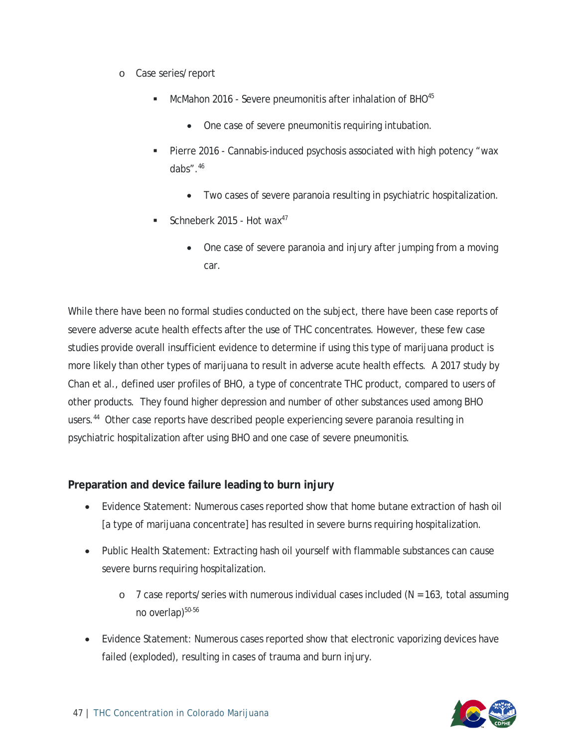- o Case series/report
	- McMahon 2016 Severe pneumonitis after inhalation of BHO<sup>45</sup>
		- One case of severe pneumonitis requiring intubation.
	- Pierre 2016 Cannabis-induced psychosis associated with high potency "wax dabs".46
		- Two cases of severe paranoia resulting in psychiatric hospitalization.
	- Schneberk 2015 Hot wax<sup>47</sup>
		- One case of severe paranoia and injury after jumping from a moving car.

While there have been no formal studies conducted on the subject, there have been case reports of severe adverse acute health effects after the use of THC concentrates. However, these few case studies provide overall insufficient evidence to determine if using this type of marijuana product is more likely than other types of marijuana to result in adverse acute health effects. A 2017 study by Chan et al., defined user profiles of BHO, a type of concentrate THC product, compared to users of other products. They found higher depression and number of other substances used among BHO users.<sup>44</sup> Other case reports have described people experiencing severe paranoia resulting in psychiatric hospitalization after using BHO and one case of severe pneumonitis.

#### <span id="page-47-0"></span>**Preparation and device failure leading to burn injury**

- Evidence Statement: Numerous cases reported show that home butane extraction of hash oil [a type of marijuana concentrate] has resulted in severe burns requiring hospitalization.
- Public Health Statement: Extracting hash oil yourself with flammable substances can cause severe burns requiring hospitalization.
	- $\circ$  7 case reports/series with numerous individual cases included ( $N = 163$ , total assuming no overlap)<sup>50-56</sup>
- Evidence Statement: Numerous cases reported show that electronic vaporizing devices have failed (exploded), resulting in cases of trauma and burn injury.

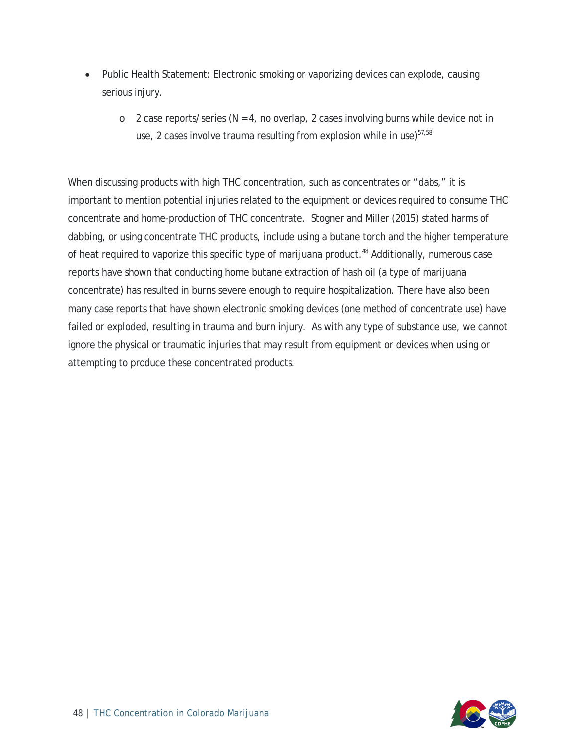- Public Health Statement: Electronic smoking or vaporizing devices can explode, causing serious injury.
	- $\circ$  2 case reports/series (N = 4, no overlap, 2 cases involving burns while device not in use, 2 cases involve trauma resulting from explosion while in use)<sup>57,58</sup>

When discussing products with high THC concentration, such as concentrates or "dabs," it is important to mention potential injuries related to the equipment or devices required to consume THC concentrate and home-production of THC concentrate. Stogner and Miller (2015) stated harms of dabbing, or using concentrate THC products, include using a butane torch and the higher temperature of heat required to vaporize this specific type of marijuana product.<sup>48</sup> Additionally, numerous case reports have shown that conducting home butane extraction of hash oil (a type of marijuana concentrate) has resulted in burns severe enough to require hospitalization. There have also been many case reports that have shown electronic smoking devices (one method of concentrate use) have failed or exploded, resulting in trauma and burn injury. As with any type of substance use, we cannot ignore the physical or traumatic injuries that may result from equipment or devices when using or attempting to produce these concentrated products.

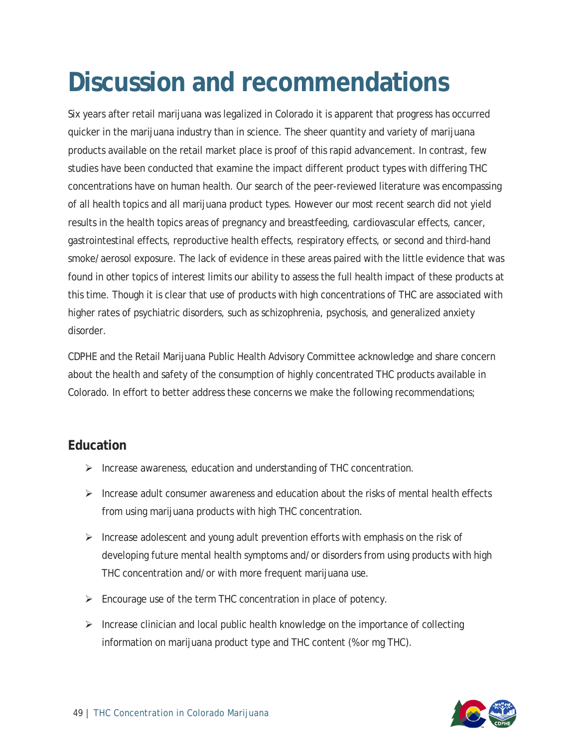### <span id="page-49-0"></span>**Discussion and recommendations**

Six years after retail marijuana was legalized in Colorado it is apparent that progress has occurred quicker in the marijuana industry than in science. The sheer quantity and variety of marijuana products available on the retail market place is proof of this rapid advancement. In contrast, few studies have been conducted that examine the impact different product types with differing THC concentrations have on human health. Our search of the peer-reviewed literature was encompassing of all health topics and all marijuana product types. However our most recent search did not yield results in the health topics areas of pregnancy and breastfeeding, cardiovascular effects, cancer, gastrointestinal effects, reproductive health effects, respiratory effects, or second and third-hand smoke/aerosol exposure. The lack of evidence in these areas paired with the little evidence that was found in other topics of interest limits our ability to assess the full health impact of these products at this time. Though it is clear that use of products with high concentrations of THC are associated with higher rates of psychiatric disorders, such as schizophrenia, psychosis, and generalized anxiety disorder.

CDPHE and the Retail Marijuana Public Health Advisory Committee acknowledge and share concern about the health and safety of the consumption of highly concentrated THC products available in Colorado. In effort to better address these concerns we make the following recommendations;

#### <span id="page-49-1"></span>**Education**

- $\triangleright$  Increase awareness, education and understanding of THC concentration.
- $\triangleright$  Increase adult consumer awareness and education about the risks of mental health effects from using marijuana products with high THC concentration.
- Increase adolescent and young adult prevention efforts with emphasis on the risk of developing future mental health symptoms and/or disorders from using products with high THC concentration and/or with more frequent marijuana use.
- $\triangleright$  Encourage use of the term THC concentration in place of potency.
- $\triangleright$  Increase clinician and local public health knowledge on the importance of collecting information on marijuana product type and THC content (% or mg THC).

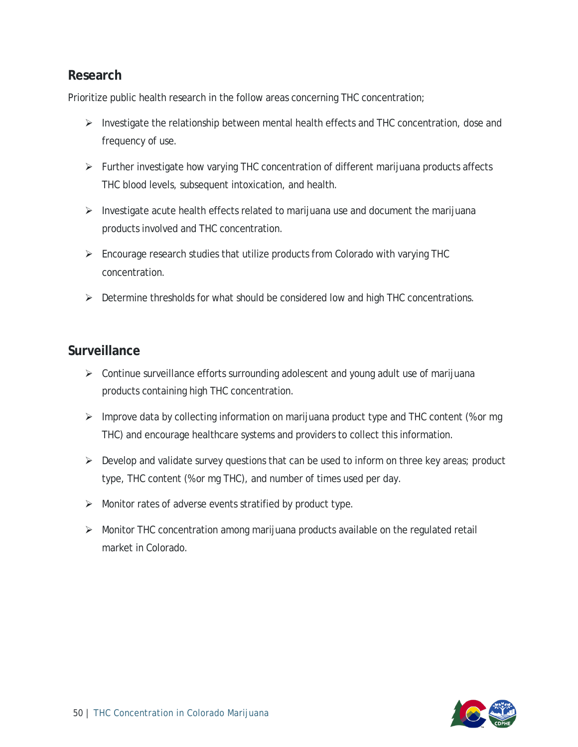#### <span id="page-50-0"></span>**Research**

Prioritize public health research in the follow areas concerning THC concentration;

- $\triangleright$  Investigate the relationship between mental health effects and THC concentration, dose and frequency of use.
- $\triangleright$  Further investigate how varying THC concentration of different marijuana products affects THC blood levels, subsequent intoxication, and health.
- $\triangleright$  Investigate acute health effects related to marijuana use and document the marijuana products involved and THC concentration.
- $\triangleright$  Encourage research studies that utilize products from Colorado with varying THC concentration.
- $\triangleright$  Determine thresholds for what should be considered low and high THC concentrations.

#### <span id="page-50-1"></span>**Surveillance**

- $\triangleright$  Continue surveillance efforts surrounding adolescent and young adult use of marijuana products containing high THC concentration.
- $\triangleright$  Improve data by collecting information on marijuana product type and THC content (% or mg) THC) and encourage healthcare systems and providers to collect this information.
- $\triangleright$  Develop and validate survey questions that can be used to inform on three key areas; product type, THC content (% or mg THC), and number of times used per day.
- $\triangleright$  Monitor rates of adverse events stratified by product type.
- $\triangleright$  Monitor THC concentration among marijuana products available on the regulated retail market in Colorado.

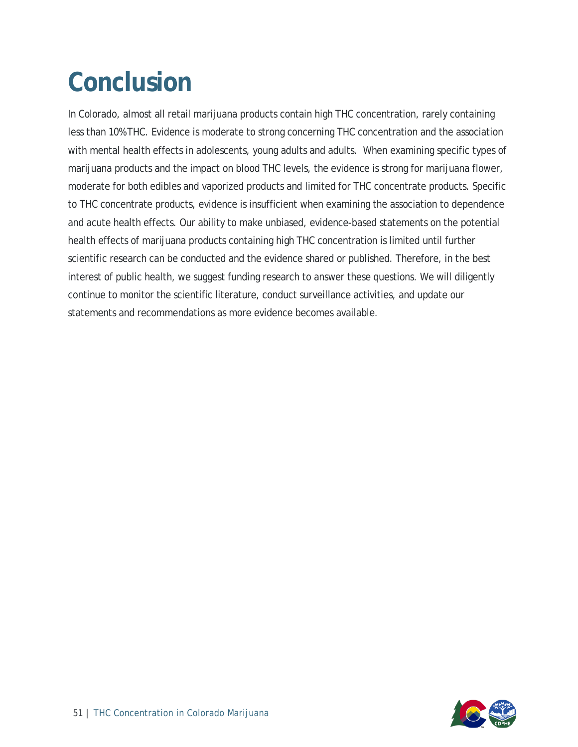## <span id="page-51-0"></span>**Conclusion**

In Colorado, almost all retail marijuana products contain high THC concentration, rarely containing less than 10% THC. Evidence is moderate to strong concerning THC concentration and the association with mental health effects in adolescents, young adults and adults. When examining specific types of marijuana products and the impact on blood THC levels, the evidence is strong for marijuana flower, moderate for both edibles and vaporized products and limited for THC concentrate products. Specific to THC concentrate products, evidence is insufficient when examining the association to dependence and acute health effects. Our ability to make unbiased, evidence-based statements on the potential health effects of marijuana products containing high THC concentration is limited until further scientific research can be conducted and the evidence shared or published. Therefore, in the best interest of public health, we suggest funding research to answer these questions. We will diligently continue to monitor the scientific literature, conduct surveillance activities, and update our statements and recommendations as more evidence becomes available.

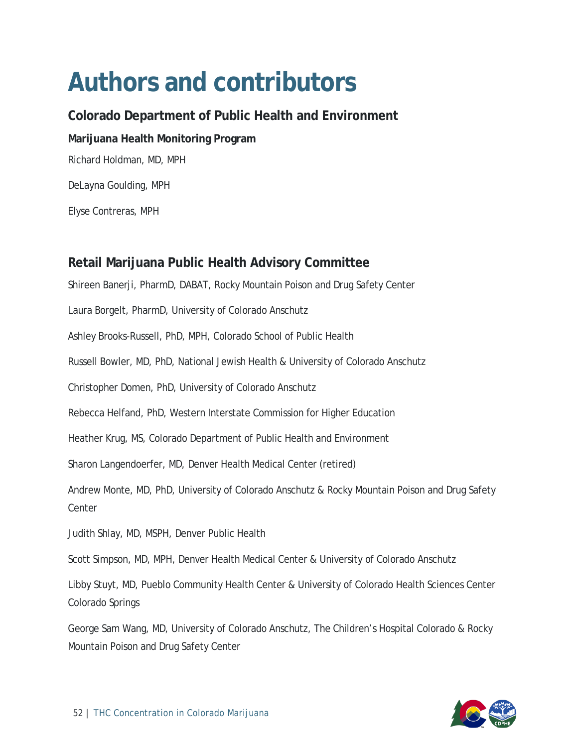### <span id="page-52-0"></span>**Authors and contributors**

<span id="page-52-2"></span><span id="page-52-1"></span>**Colorado Department of Public Health and Environment Marijuana Health Monitoring Program** Richard Holdman, MD, MPH DeLayna Goulding, MPH Elyse Contreras, MPH

#### <span id="page-52-3"></span>**Retail Marijuana Public Health Advisory Committee**

Shireen Banerji, PharmD, DABAT, Rocky Mountain Poison and Drug Safety Center

Laura Borgelt, PharmD, University of Colorado Anschutz

Ashley Brooks-Russell, PhD, MPH, Colorado School of Public Health

Russell Bowler, MD, PhD, National Jewish Health & University of Colorado Anschutz

Christopher Domen, PhD, University of Colorado Anschutz

Rebecca Helfand, PhD, Western Interstate Commission for Higher Education

Heather Krug, MS, Colorado Department of Public Health and Environment

Sharon Langendoerfer, MD, Denver Health Medical Center (retired)

Andrew Monte, MD, PhD, University of Colorado Anschutz & Rocky Mountain Poison and Drug Safety **Center** 

Judith Shlay, MD, MSPH, Denver Public Health

Scott Simpson, MD, MPH, Denver Health Medical Center & University of Colorado Anschutz

Libby Stuyt, MD, Pueblo Community Health Center & University of Colorado Health Sciences Center Colorado Springs

George Sam Wang, MD, University of Colorado Anschutz, The Children's Hospital Colorado & Rocky Mountain Poison and Drug Safety Center

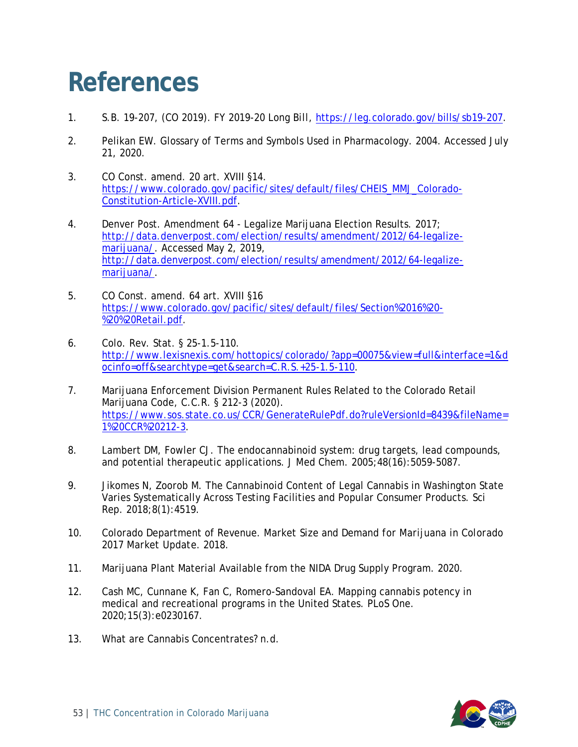### <span id="page-53-0"></span>**References**

- 1. S.B. 19-207, (CO 2019). *FY 2019-20 Long Bill*, [https://leg.colorado.gov/bills/sb19-207.](https://leg.colorado.gov/bills/sb19-207)
- 2. Pelikan EW. Glossary of Terms and Symbols Used in Pharmacology. 2004. Accessed July 21, 2020.
- 3. CO Const. amend. 20 art. XVIII §14. [https://www.colorado.gov/pacific/sites/default/files/CHEIS\\_MMJ\\_Colorado-](https://www.colorado.gov/pacific/sites/default/files/CHEIS_MMJ_Colorado-Constitution-Article-XVIII.pdf)[Constitution-Article-XVIII.pdf.](https://www.colorado.gov/pacific/sites/default/files/CHEIS_MMJ_Colorado-Constitution-Article-XVIII.pdf)
- 4. Denver Post. Amendment 64 Legalize Marijuana Election Results. 2017; [http://data.denverpost.com/election/results/amendment/2012/64-legalize](http://data.denverpost.com/election/results/amendment/2012/64-legalize-marijuana/)[marijuana/.](http://data.denverpost.com/election/results/amendment/2012/64-legalize-marijuana/) Accessed May 2, 2019, [http://data.denverpost.com/election/results/amendment/2012/64-legalize](http://data.denverpost.com/election/results/amendment/2012/64-legalize-marijuana/)[marijuana/.](http://data.denverpost.com/election/results/amendment/2012/64-legalize-marijuana/)
- 5. CO Const. amend. 64 art. XVIII §16 [https://www.colorado.gov/pacific/sites/default/files/Section%2016%20-](https://www.colorado.gov/pacific/sites/default/files/Section%2016%20-%20%20Retail.pdf) [%20%20Retail.pdf.](https://www.colorado.gov/pacific/sites/default/files/Section%2016%20-%20%20Retail.pdf)
- 6. Colo. Rev. Stat. § 25-1.5-110. [http://www.lexisnexis.com/hottopics/colorado/?app=00075&view=full&interface=1&d](http://www.lexisnexis.com/hottopics/colorado/?app=00075&view=full&interface=1&docinfo=off&searchtype=get&search=C.R.S.+25-1.5-110) [ocinfo=off&searchtype=get&search=C.R.S.+25-1.5-110.](http://www.lexisnexis.com/hottopics/colorado/?app=00075&view=full&interface=1&docinfo=off&searchtype=get&search=C.R.S.+25-1.5-110)
- 7. Marijuana Enforcement Division Permanent Rules Related to the Colorado Retail Marijuana Code, C.C.R. § 212-3 (2020). [https://www.sos.state.co.us/CCR/GenerateRulePdf.do?ruleVersionId=8439&fileName=](https://www.sos.state.co.us/CCR/GenerateRulePdf.do?ruleVersionId=8439&fileName=1%20CCR%20212-3) [1%20CCR%20212-3.](https://www.sos.state.co.us/CCR/GenerateRulePdf.do?ruleVersionId=8439&fileName=1%20CCR%20212-3)
- 8. Lambert DM, Fowler CJ. The endocannabinoid system: drug targets, lead compounds, and potential therapeutic applications. *J Med Chem.* 2005;48(16):5059-5087.
- 9. Jikomes N, Zoorob M. The Cannabinoid Content of Legal Cannabis in Washington State Varies Systematically Across Testing Facilities and Popular Consumer Products. *Sci Rep.* 2018;8(1):4519.
- 10. Colorado Department of Revenue. *Market Size and Demand for Marijuana in Colorado 2017 Market Update.* 2018.
- 11. Marijuana Plant Material Available from the NIDA Drug Supply Program. 2020.
- 12. Cash MC, Cunnane K, Fan C, Romero-Sandoval EA. Mapping cannabis potency in medical and recreational programs in the United States. *PLoS One.*  2020;15(3):e0230167.
- 13. What are Cannabis Concentrates? n.d.

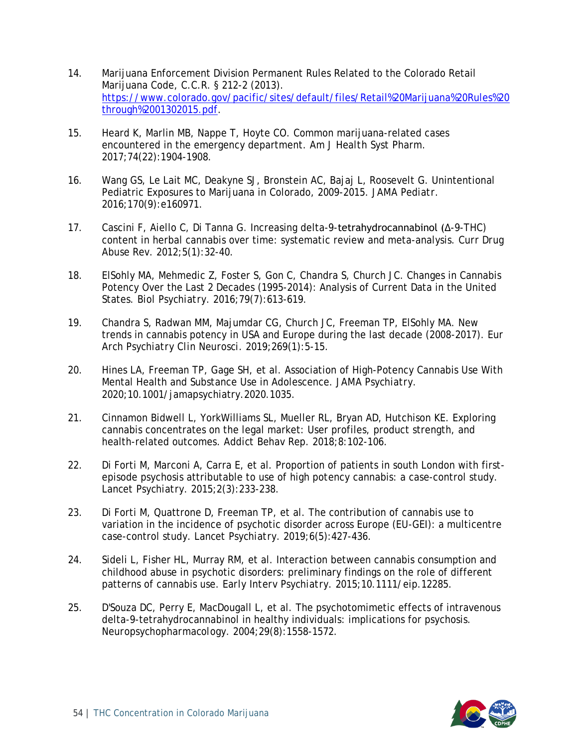- 14. Marijuana Enforcement Division Permanent Rules Related to the Colorado Retail Marijuana Code, C.C.R. § 212-2 (2013). [https://www.colorado.gov/pacific/sites/default/files/Retail%20Marijuana%20Rules%20](https://www.colorado.gov/pacific/sites/default/files/Retail%20Marijuana%20Rules%20through%2001302015.pdf) [through%2001302015.pdf.](https://www.colorado.gov/pacific/sites/default/files/Retail%20Marijuana%20Rules%20through%2001302015.pdf)
- 15. Heard K, Marlin MB, Nappe T, Hoyte CO. Common marijuana-related cases encountered in the emergency department. *Am J Health Syst Pharm.*  2017;74(22):1904-1908.
- 16. Wang GS, Le Lait MC, Deakyne SJ, Bronstein AC, Bajaj L, Roosevelt G. Unintentional Pediatric Exposures to Marijuana in Colorado, 2009-2015. *JAMA Pediatr.*  2016;170(9):e160971.
- 17. Cascini F, Aiello C, Di Tanna G. Increasing delta-9-tetrahydrocannabinol (Δ-9-THC) content in herbal cannabis over time: systematic review and meta-analysis. *Curr Drug Abuse Rev.* 2012;5(1):32-40.
- 18. ElSohly MA, Mehmedic Z, Foster S, Gon C, Chandra S, Church JC. Changes in Cannabis Potency Over the Last 2 Decades (1995-2014): Analysis of Current Data in the United States. *Biol Psychiatry.* 2016;79(7):613-619.
- 19. Chandra S, Radwan MM, Majumdar CG, Church JC, Freeman TP, ElSohly MA. New trends in cannabis potency in USA and Europe during the last decade (2008-2017). *Eur Arch Psychiatry Clin Neurosci.* 2019;269(1):5-15.
- 20. Hines LA, Freeman TP, Gage SH, et al. Association of High-Potency Cannabis Use With Mental Health and Substance Use in Adolescence. *JAMA Psychiatry.*  2020;10.1001/jamapsychiatry.2020.1035.
- 21. Cinnamon Bidwell L, YorkWilliams SL, Mueller RL, Bryan AD, Hutchison KE. Exploring cannabis concentrates on the legal market: User profiles, product strength, and health-related outcomes. *Addict Behav Rep.* 2018;8:102-106.
- 22. Di Forti M, Marconi A, Carra E, et al. Proportion of patients in south London with firstepisode psychosis attributable to use of high potency cannabis: a case-control study. *Lancet Psychiatry.* 2015;2(3):233-238.
- 23. Di Forti M, Quattrone D, Freeman TP, et al. The contribution of cannabis use to variation in the incidence of psychotic disorder across Europe (EU-GEI): a multicentre case-control study. *Lancet Psychiatry.* 2019;6(5):427-436.
- 24. Sideli L, Fisher HL, Murray RM, et al. Interaction between cannabis consumption and childhood abuse in psychotic disorders: preliminary findings on the role of different patterns of cannabis use. *Early Interv Psychiatry.* 2015;10.1111/eip.12285.
- 25. D'Souza DC, Perry E, MacDougall L, et al. The psychotomimetic effects of intravenous delta-9-tetrahydrocannabinol in healthy individuals: implications for psychosis. *Neuropsychopharmacology.* 2004;29(8):1558-1572.

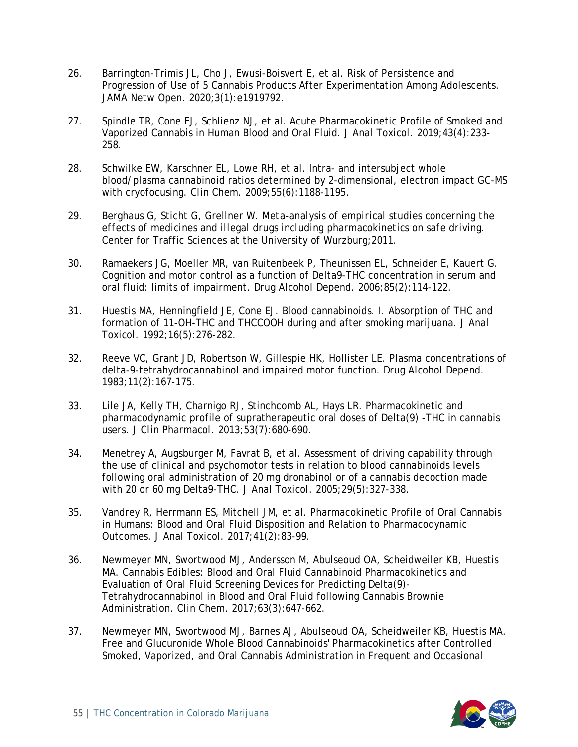- 26. Barrington-Trimis JL, Cho J, Ewusi-Boisvert E, et al. Risk of Persistence and Progression of Use of 5 Cannabis Products After Experimentation Among Adolescents. *JAMA Netw Open.* 2020;3(1):e1919792.
- 27. Spindle TR, Cone EJ, Schlienz NJ, et al. Acute Pharmacokinetic Profile of Smoked and Vaporized Cannabis in Human Blood and Oral Fluid. *J Anal Toxicol.* 2019;43(4):233- 258.
- 28. Schwilke EW, Karschner EL, Lowe RH, et al. Intra- and intersubject whole blood/plasma cannabinoid ratios determined by 2-dimensional, electron impact GC-MS with cryofocusing. *Clin Chem.* 2009;55(6):1188-1195.
- 29. Berghaus G, Sticht G, Grellner W. *Meta-analysis of empirical studies concerning the effects of medicines and illegal drugs including pharmacokinetics on safe driving.* Center for Traffic Sciences at the University of Wurzburg;2011.
- 30. Ramaekers JG, Moeller MR, van Ruitenbeek P, Theunissen EL, Schneider E, Kauert G. Cognition and motor control as a function of Delta9-THC concentration in serum and oral fluid: limits of impairment. *Drug Alcohol Depend.* 2006;85(2):114-122.
- 31. Huestis MA, Henningfield JE, Cone EJ. Blood cannabinoids. I. Absorption of THC and formation of 11-OH-THC and THCCOOH during and after smoking marijuana. *J Anal Toxicol.* 1992;16(5):276-282.
- 32. Reeve VC, Grant JD, Robertson W, Gillespie HK, Hollister LE. Plasma concentrations of delta-9-tetrahydrocannabinol and impaired motor function. *Drug Alcohol Depend.*  1983;11(2):167-175.
- 33. Lile JA, Kelly TH, Charnigo RJ, Stinchcomb AL, Hays LR. Pharmacokinetic and pharmacodynamic profile of supratherapeutic oral doses of Delta(9) -THC in cannabis users. *J Clin Pharmacol.* 2013;53(7):680-690.
- 34. Menetrey A, Augsburger M, Favrat B, et al. Assessment of driving capability through the use of clinical and psychomotor tests in relation to blood cannabinoids levels following oral administration of 20 mg dronabinol or of a cannabis decoction made with 20 or 60 mg Delta9-THC. *J Anal Toxicol.* 2005;29(5):327-338.
- 35. Vandrey R, Herrmann ES, Mitchell JM, et al. Pharmacokinetic Profile of Oral Cannabis in Humans: Blood and Oral Fluid Disposition and Relation to Pharmacodynamic Outcomes. *J Anal Toxicol.* 2017;41(2):83-99.
- 36. Newmeyer MN, Swortwood MJ, Andersson M, Abulseoud OA, Scheidweiler KB, Huestis MA. Cannabis Edibles: Blood and Oral Fluid Cannabinoid Pharmacokinetics and Evaluation of Oral Fluid Screening Devices for Predicting Delta(9)- Tetrahydrocannabinol in Blood and Oral Fluid following Cannabis Brownie Administration. *Clin Chem.* 2017;63(3):647-662.
- 37. Newmeyer MN, Swortwood MJ, Barnes AJ, Abulseoud OA, Scheidweiler KB, Huestis MA. Free and Glucuronide Whole Blood Cannabinoids' Pharmacokinetics after Controlled Smoked, Vaporized, and Oral Cannabis Administration in Frequent and Occasional

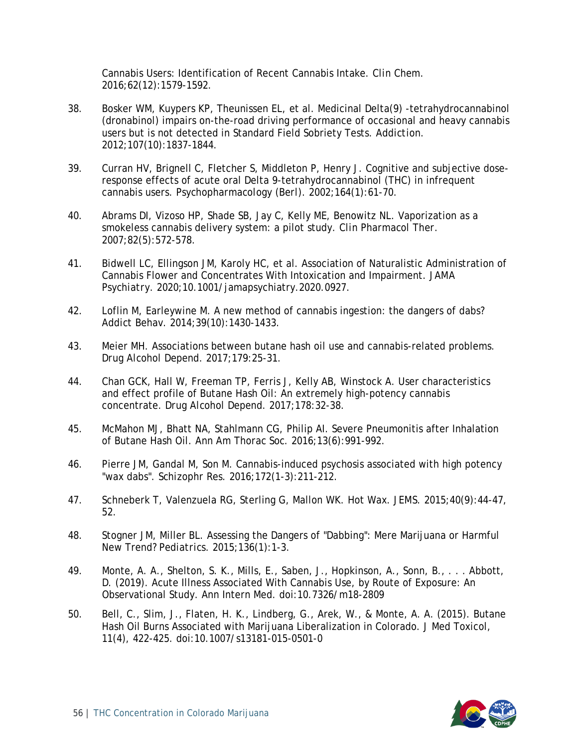Cannabis Users: Identification of Recent Cannabis Intake. *Clin Chem.*  2016;62(12):1579-1592.

- 38. Bosker WM, Kuypers KP, Theunissen EL, et al. Medicinal Delta(9) -tetrahydrocannabinol (dronabinol) impairs on-the-road driving performance of occasional and heavy cannabis users but is not detected in Standard Field Sobriety Tests. *Addiction.*  2012;107(10):1837-1844.
- 39. Curran HV, Brignell C, Fletcher S, Middleton P, Henry J. Cognitive and subjective doseresponse effects of acute oral Delta 9-tetrahydrocannabinol (THC) in infrequent cannabis users. *Psychopharmacology (Berl).* 2002;164(1):61-70.
- 40. Abrams DI, Vizoso HP, Shade SB, Jay C, Kelly ME, Benowitz NL. Vaporization as a smokeless cannabis delivery system: a pilot study. *Clin Pharmacol Ther.*  2007;82(5):572-578.
- 41. Bidwell LC, Ellingson JM, Karoly HC, et al. Association of Naturalistic Administration of Cannabis Flower and Concentrates With Intoxication and Impairment. *JAMA Psychiatry.* 2020;10.1001/jamapsychiatry.2020.0927.
- 42. Loflin M, Earleywine M. A new method of cannabis ingestion: the dangers of dabs? *Addict Behav.* 2014;39(10):1430-1433.
- 43. Meier MH. Associations between butane hash oil use and cannabis-related problems. *Drug Alcohol Depend.* 2017;179:25-31.
- 44. Chan GCK, Hall W, Freeman TP, Ferris J, Kelly AB, Winstock A. User characteristics and effect profile of Butane Hash Oil: An extremely high-potency cannabis concentrate. *Drug Alcohol Depend.* 2017;178:32-38.
- 45. McMahon MJ, Bhatt NA, Stahlmann CG, Philip AI. Severe Pneumonitis after Inhalation of Butane Hash Oil. *Ann Am Thorac Soc.* 2016;13(6):991-992.
- 46. Pierre JM, Gandal M, Son M. Cannabis-induced psychosis associated with high potency "wax dabs". *Schizophr Res.* 2016;172(1-3):211-212.
- 47. Schneberk T, Valenzuela RG, Sterling G, Mallon WK. Hot Wax. *JEMS.* 2015;40(9):44-47, 52.
- 48. Stogner JM, Miller BL. Assessing the Dangers of "Dabbing": Mere Marijuana or Harmful New Trend? *Pediatrics.* 2015;136(1):1-3.
- 49. Monte, A. A., Shelton, S. K., Mills, E., Saben, J., Hopkinson, A., Sonn, B., . . . Abbott, D. (2019). Acute Illness Associated With Cannabis Use, by Route of Exposure: An Observational Study. Ann Intern Med. doi:10.7326/m18-2809
- 50. Bell, C., Slim, J., Flaten, H. K., Lindberg, G., Arek, W., & Monte, A. A. (2015). Butane Hash Oil Burns Associated with Marijuana Liberalization in Colorado. J Med Toxicol, 11(4), 422-425. doi:10.1007/s13181-015-0501-0